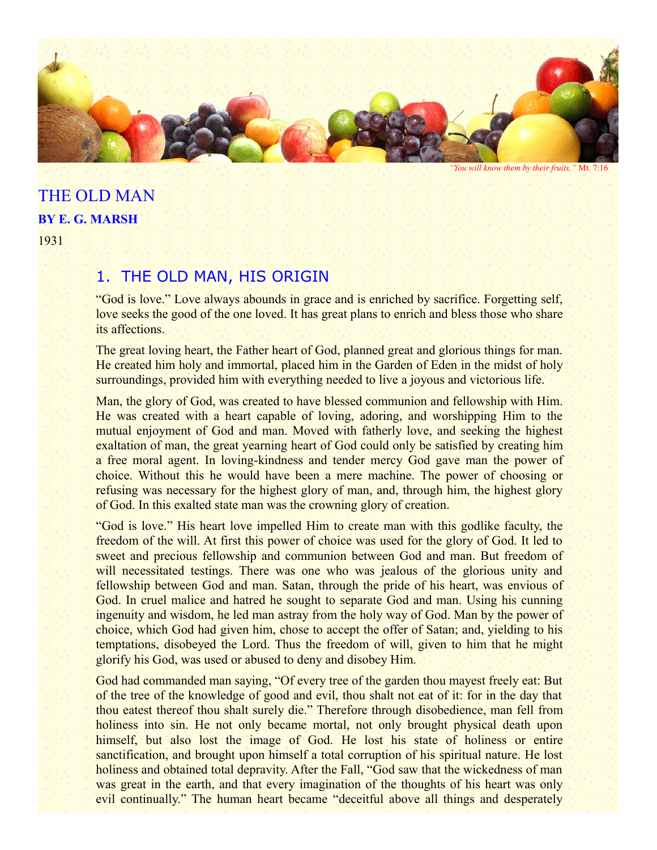

*"You will know them by their fruits."* Mt. 7:16

# THE OLD MAN **BY E. G. MARSH**

1931

## 1. THE OLD MAN, HIS ORIGIN

"God is love." Love always abounds in grace and is enriched by sacrifice. Forgetting self, love seeks the good of the one loved. It has great plans to enrich and bless those who share its affections.

The great loving heart, the Father heart of God, planned great and glorious things for man. He created him holy and immortal, placed him in the Garden of Eden in the midst of holy surroundings, provided him with everything needed to live a joyous and victorious life.

Man, the glory of God, was created to have blessed communion and fellowship with Him. He was created with a heart capable of loving, adoring, and worshipping Him to the mutual enjoyment of God and man. Moved with fatherly love, and seeking the highest exaltation of man, the great yearning heart of God could only be satisfied by creating him a free moral agent. In loving-kindness and tender mercy God gave man the power of choice. Without this he would have been a mere machine. The power of choosing or refusing was necessary for the highest glory of man, and, through him, the highest glory of God. In this exalted state man was the crowning glory of creation.

"God is love." His heart love impelled Him to create man with this godlike faculty, the freedom of the will. At first this power of choice was used for the glory of God. It led to sweet and precious fellowship and communion between God and man. But freedom of will necessitated testings. There was one who was jealous of the glorious unity and fellowship between God and man. Satan, through the pride of his heart, was envious of God. In cruel malice and hatred he sought to separate God and man. Using his cunning ingenuity and wisdom, he led man astray from the holy way of God. Man by the power of choice, which God had given him, chose to accept the offer of Satan; and, yielding to his temptations, disobeyed the Lord. Thus the freedom of will, given to him that he might glorify his God, was used or abused to deny and disobey Him.

God had commanded man saying, "Of every tree of the garden thou mayest freely eat: But of the tree of the knowledge of good and evil, thou shalt not eat of it: for in the day that thou eatest thereof thou shalt surely die." Therefore through disobedience, man fell from holiness into sin. He not only became mortal, not only brought physical death upon himself, but also lost the image of God. He lost his state of holiness or entire sanctification, and brought upon himself a total corruption of his spiritual nature. He lost holiness and obtained total depravity. After the Fall, "God saw that the wickedness of man was great in the earth, and that every imagination of the thoughts of his heart was only evil continually." The human heart became "deceitful above all things and desperately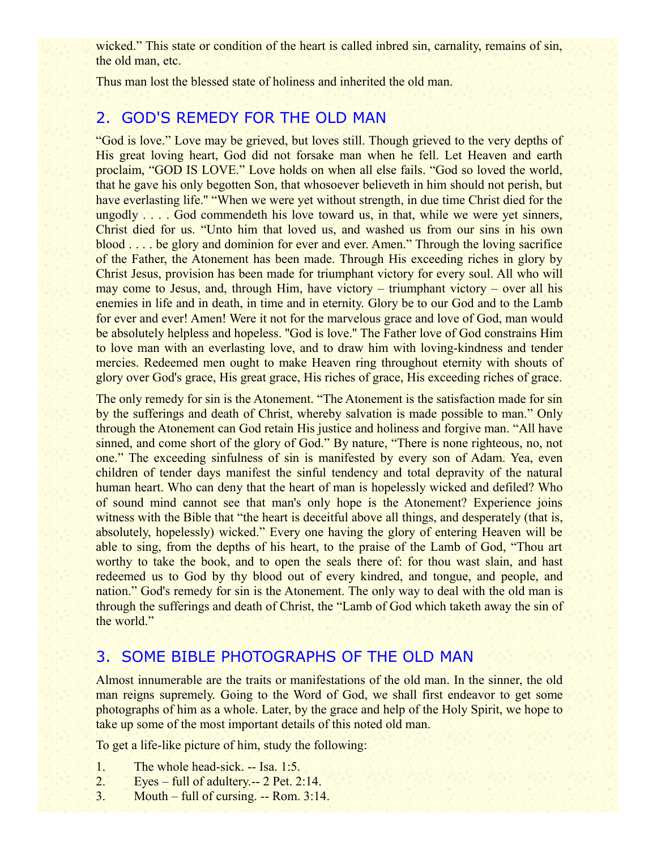wicked." This state or condition of the heart is called inbred sin, carnality, remains of sin, the old man, etc.

Thus man lost the blessed state of holiness and inherited the old man.

## 2. GOD'S REMEDY FOR THE OLD MAN

"God is love." Love may be grieved, but loves still. Though grieved to the very depths of His great loving heart, God did not forsake man when he fell. Let Heaven and earth proclaim, "GOD IS LOVE." Love holds on when all else fails. "God so loved the world, that he gave his only begotten Son, that whosoever believeth in him should not perish, but have everlasting life." "When we were yet without strength, in due time Christ died for the ungodly . . . . God commendeth his love toward us, in that, while we were yet sinners, Christ died for us. "Unto him that loved us, and washed us from our sins in his own blood . . . . be glory and dominion for ever and ever. Amen." Through the loving sacrifice of the Father, the Atonement has been made. Through His exceeding riches in glory by Christ Jesus, provision has been made for triumphant victory for every soul. All who will may come to Jesus, and, through Him, have victory – triumphant victory – over all his enemies in life and in death, in time and in eternity. Glory be to our God and to the Lamb for ever and ever! Amen! Were it not for the marvelous grace and love of God, man would be absolutely helpless and hopeless. "God is love." The Father love of God constrains Him to love man with an everlasting love, and to draw him with loving-kindness and tender mercies. Redeemed men ought to make Heaven ring throughout eternity with shouts of glory over God's grace, His great grace, His riches of grace, His exceeding riches of grace.

The only remedy for sin is the Atonement. "The Atonement is the satisfaction made for sin by the sufferings and death of Christ, whereby salvation is made possible to man." Only through the Atonement can God retain His justice and holiness and forgive man. "All have sinned, and come short of the glory of God." By nature, "There is none righteous, no, not one." The exceeding sinfulness of sin is manifested by every son of Adam. Yea, even children of tender days manifest the sinful tendency and total depravity of the natural human heart. Who can deny that the heart of man is hopelessly wicked and defiled? Who of sound mind cannot see that man's only hope is the Atonement? Experience joins witness with the Bible that "the heart is deceitful above all things, and desperately (that is, absolutely, hopelessly) wicked." Every one having the glory of entering Heaven will be able to sing, from the depths of his heart, to the praise of the Lamb of God, "Thou art worthy to take the book, and to open the seals there of: for thou wast slain, and hast redeemed us to God by thy blood out of every kindred, and tongue, and people, and nation." God's remedy for sin is the Atonement. The only way to deal with the old man is through the sufferings and death of Christ, the "Lamb of God which taketh away the sin of the world."

## 3. SOME BIBLE PHOTOGRAPHS OF THE OLD MAN

Almost innumerable are the traits or manifestations of the old man. In the sinner, the old man reigns supremely. Going to the Word of God, we shall first endeavor to get some photographs of him as a whole. Later, by the grace and help of the Holy Spirit, we hope to take up some of the most important details of this noted old man.

To get a life-like picture of him, study the following:

- 1. The whole head-sick. -- Isa. 1:5.
- 2. Eyes full of adultery.-- 2 Pet. 2:14.
- 3. Mouth full of cursing.  $-$  Rom. 3:14.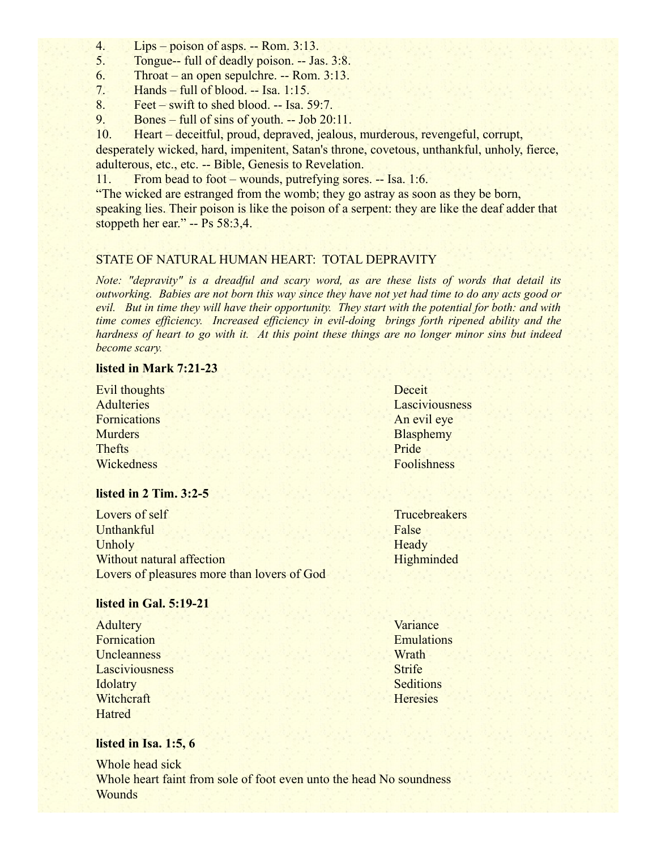- 4. Lips poison of asps. -- Rom. 3:13.
- 5. Tongue-- full of deadly poison. -- Jas. 3:8.
- 6. Throat an open sepulchre. -- Rom. 3:13.
- 7. Hands full of blood. -- Isa.  $1:15$ .
- 8. Feet swift to shed blood. -- Isa. 59:7.
- 9. Bones full of sins of youth. -- Job 20:11.

10. Heart – deceitful, proud, depraved, jealous, murderous, revengeful, corrupt, desperately wicked, hard, impenitent, Satan's throne, covetous, unthankful, unholy, fierce, adulterous, etc., etc. -- Bible, Genesis to Revelation.

11. From bead to foot – wounds, putrefying sores. -- Isa. 1:6.

"The wicked are estranged from the womb; they go astray as soon as they be born, speaking lies. Their poison is like the poison of a serpent: they are like the deaf adder that stoppeth her ear." -- Ps 58:3,4.

### STATE OF NATURAL HUMAN HEART: TOTAL DEPRAVITY

*Note: "depravity" is a dreadful and scary word, as are these lists of words that detail its outworking. Babies are not born this way since they have not yet had time to do any acts good or evil. But in time they will have their opportunity. They start with the potential for both: and with time comes efficiency. Increased efficiency in evil-doing brings forth ripened ability and the hardness of heart to go with it. At this point these things are no longer minor sins but indeed become scary.*

#### **listed in Mark 7:21-23**

Evil thoughts **Adulteries Fornications Murders** Thefts **Wickedness** 

### **listed in 2 Tim. 3:2-5**

Lovers of self Unthankful Unholy Without natural affection Lovers of pleasures more than lovers of God

#### **listed in Gal. 5:19-21**

**Adultery** Fornication **Uncleanness** Lasciviousness **Idolatry** Witchcraft Hatred

**Variance** Emulations **Wrath Strife Seditions Heresies** 

### **listed in Isa. 1:5, 6**

Whole head sick Whole heart faint from sole of foot even unto the head No soundness **Wounds** 

Deceit Lasciviousness An evil eye **Blasphemy** Pride Foolishness

**Trucebreakers** False **Heady Highminded**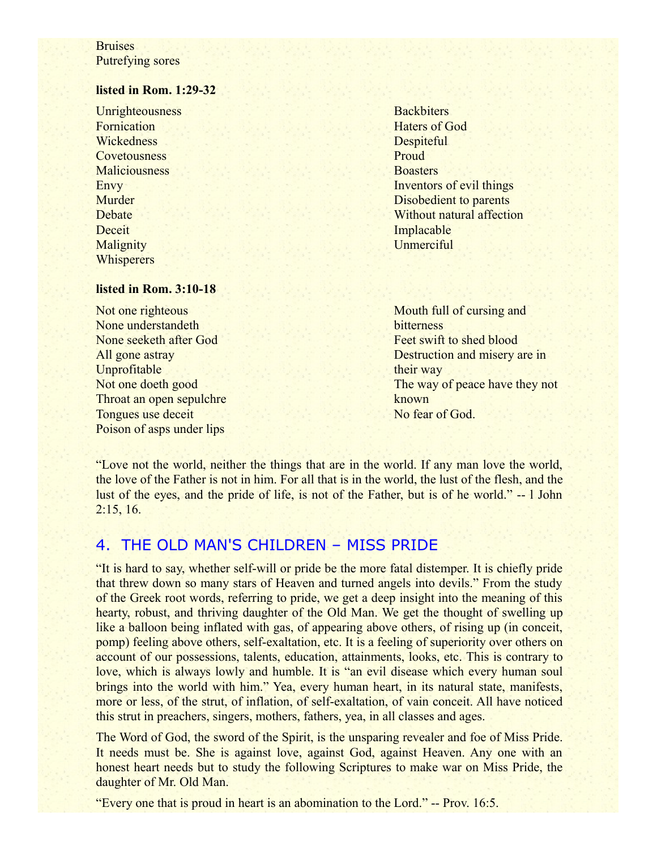### **Bruises** Putrefying sores

### **listed in Rom. 1:29-32**

**Unrighteousness** Fornication **Wickedness Covetousness Maliciousness** Envy Murder **Debate Deceit Malignity Whisperers** 

**Backbiters** Haters of God **Despiteful** Proud **Boasters** Inventors of evil things Disobedient to parents Without natural affection Implacable **Unmerciful** 

#### **listed in Rom. 3:10-18**

Not one righteous None understandeth None seeketh after God All gone astray Unprofitable Not one doeth good Throat an open sepulchre Tongues use deceit Poison of asps under lips

Mouth full of cursing and **bitterness** Feet swift to shed blood Destruction and misery are in their way The way of peace have they not known No fear of God.

"Love not the world, neither the things that are in the world. If any man love the world, the love of the Father is not in him. For all that is in the world, the lust of the flesh, and the lust of the eyes, and the pride of life, is not of the Father, but is of he world." -- l John  $2:15, 16.$ 

## 4. THE OLD MAN'S CHILDREN – MISS PRIDE

"It is hard to say, whether self-will or pride be the more fatal distemper. It is chiefly pride that threw down so many stars of Heaven and turned angels into devils." From the study of the Greek root words, referring to pride, we get a deep insight into the meaning of this hearty, robust, and thriving daughter of the Old Man. We get the thought of swelling up like a balloon being inflated with gas, of appearing above others, of rising up (in conceit, pomp) feeling above others, self-exaltation, etc. It is a feeling of superiority over others on account of our possessions, talents, education, attainments, looks, etc. This is contrary to love, which is always lowly and humble. It is "an evil disease which every human soul brings into the world with him." Yea, every human heart, in its natural state, manifests, more or less, of the strut, of inflation, of self-exaltation, of vain conceit. All have noticed this strut in preachers, singers, mothers, fathers, yea, in all classes and ages.

The Word of God, the sword of the Spirit, is the unsparing revealer and foe of Miss Pride. It needs must be. She is against love, against God, against Heaven. Any one with an honest heart needs but to study the following Scriptures to make war on Miss Pride, the daughter of Mr. Old Man.

"Every one that is proud in heart is an abomination to the Lord." -- Prov. 16:5.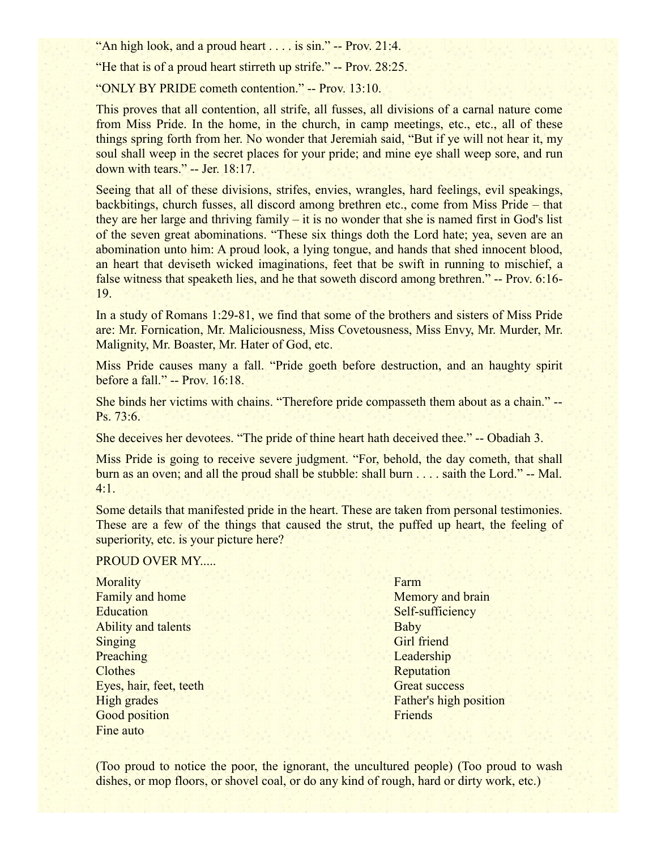"An high look, and a proud heart . . . . is sin." -- Prov. 21:4.

"He that is of a proud heart stirreth up strife." -- Prov. 28:25.

"ONLY BY PRIDE cometh contention." -- Prov. 13:10.

This proves that all contention, all strife, all fusses, all divisions of a carnal nature come from Miss Pride. In the home, in the church, in camp meetings, etc., etc., all of these things spring forth from her. No wonder that Jeremiah said, "But if ye will not hear it, my soul shall weep in the secret places for your pride; and mine eye shall weep sore, and run down with tears." -- Jer. 18:17.

Seeing that all of these divisions, strifes, envies, wrangles, hard feelings, evil speakings, backbitings, church fusses, all discord among brethren etc., come from Miss Pride – that they are her large and thriving family – it is no wonder that she is named first in God's list of the seven great abominations. "These six things doth the Lord hate; yea, seven are an abomination unto him: A proud look, a lying tongue, and hands that shed innocent blood, an heart that deviseth wicked imaginations, feet that be swift in running to mischief, a false witness that speaketh lies, and he that soweth discord among brethren." -- Prov. 6:16- 19.

In a study of Romans 1:29-81, we find that some of the brothers and sisters of Miss Pride are: Mr. Fornication, Mr. Maliciousness, Miss Covetousness, Miss Envy, Mr. Murder, Mr. Malignity, Mr. Boaster, Mr. Hater of God, etc.

Miss Pride causes many a fall. "Pride goeth before destruction, and an haughty spirit before a fall." -- Prov. 16:18.

She binds her victims with chains. "Therefore pride compasseth them about as a chain." -- Ps. 73:6.

She deceives her devotees. "The pride of thine heart hath deceived thee." -- Obadiah 3.

Miss Pride is going to receive severe judgment. "For, behold, the day cometh, that shall burn as an oven; and all the proud shall be stubble: shall burn . . . . saith the Lord." -- Mal. 4:1.

Some details that manifested pride in the heart. These are taken from personal testimonies. These are a few of the things that caused the strut, the puffed up heart, the feeling of superiority, etc. is your picture here?

### PROUD OVER MY.....

**Morality** Family and home **Education** Ability and talents Singing **Preaching Clothes** Eyes, hair, feet, teeth High grades Good position Fine auto

**Farm** Memory and brain Self-sufficiency Baby Girl friend **Leadership Reputation** Great success Father's high position Friends

(Too proud to notice the poor, the ignorant, the uncultured people) (Too proud to wash dishes, or mop floors, or shovel coal, or do any kind of rough, hard or dirty work, etc.)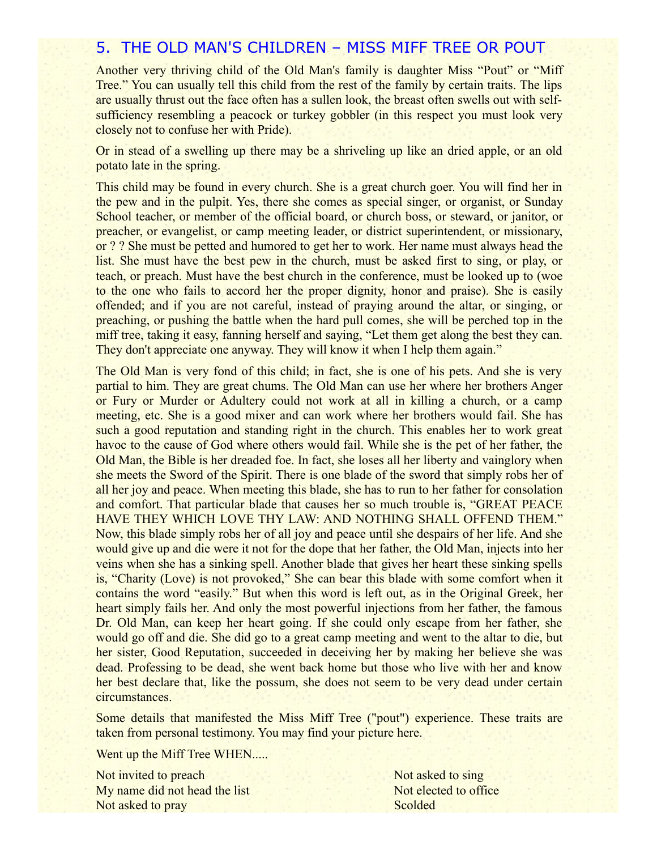### 5. THE OLD MAN'S CHILDREN – MISS MIFF TREE OR POUT

Another very thriving child of the Old Man's family is daughter Miss "Pout" or "Miff Tree." You can usually tell this child from the rest of the family by certain traits. The lips are usually thrust out the face often has a sullen look, the breast often swells out with selfsufficiency resembling a peacock or turkey gobbler (in this respect you must look very closely not to confuse her with Pride).

Or in stead of a swelling up there may be a shriveling up like an dried apple, or an old potato late in the spring.

This child may be found in every church. She is a great church goer. You will find her in the pew and in the pulpit. Yes, there she comes as special singer, or organist, or Sunday School teacher, or member of the official board, or church boss, or steward, or janitor, or preacher, or evangelist, or camp meeting leader, or district superintendent, or missionary, or ? ? She must be petted and humored to get her to work. Her name must always head the list. She must have the best pew in the church, must be asked first to sing, or play, or teach, or preach. Must have the best church in the conference, must be looked up to (woe to the one who fails to accord her the proper dignity, honor and praise). She is easily offended; and if you are not careful, instead of praying around the altar, or singing, or preaching, or pushing the battle when the hard pull comes, she will be perched top in the miff tree, taking it easy, fanning herself and saying, "Let them get along the best they can. They don't appreciate one anyway. They will know it when I help them again."

The Old Man is very fond of this child; in fact, she is one of his pets. And she is very partial to him. They are great chums. The Old Man can use her where her brothers Anger or Fury or Murder or Adultery could not work at all in killing a church, or a camp meeting, etc. She is a good mixer and can work where her brothers would fail. She has such a good reputation and standing right in the church. This enables her to work great havoc to the cause of God where others would fail. While she is the pet of her father, the Old Man, the Bible is her dreaded foe. In fact, she loses all her liberty and vainglory when she meets the Sword of the Spirit. There is one blade of the sword that simply robs her of all her joy and peace. When meeting this blade, she has to run to her father for consolation and comfort. That particular blade that causes her so much trouble is, "GREAT PEACE HAVE THEY WHICH LOVE THY LAW: AND NOTHING SHALL OFFEND THEM." Now, this blade simply robs her of all joy and peace until she despairs of her life. And she would give up and die were it not for the dope that her father, the Old Man, injects into her veins when she has a sinking spell. Another blade that gives her heart these sinking spells is, "Charity (Love) is not provoked," She can bear this blade with some comfort when it contains the word "easily." But when this word is left out, as in the Original Greek, her heart simply fails her. And only the most powerful injections from her father, the famous Dr. Old Man, can keep her heart going. If she could only escape from her father, she would go off and die. She did go to a great camp meeting and went to the altar to die, but her sister, Good Reputation, succeeded in deceiving her by making her believe she was dead. Professing to be dead, she went back home but those who live with her and know her best declare that, like the possum, she does not seem to be very dead under certain circumstances.

Some details that manifested the Miss Miff Tree ("pout") experience. These traits are taken from personal testimony. You may find your picture here.

Went up the Miff Tree WHEN.....

Not invited to preach My name did not head the list Not asked to pray

Not asked to sing Not elected to office **Scolded**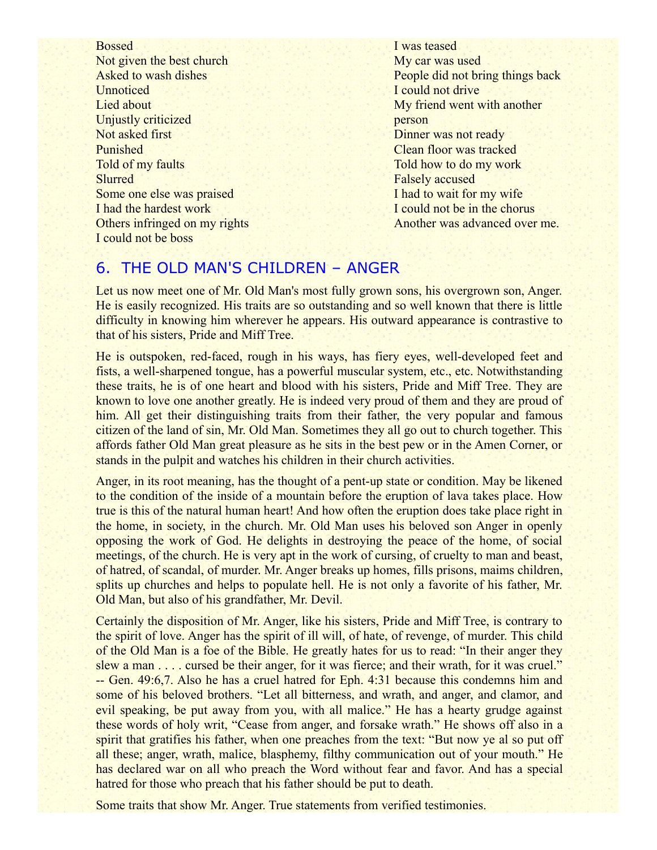Bossed Not given the best church Asked to wash dishes **Unnoticed** Lied about Unjustly criticized Not asked first Punished Told of my faults **Slurred** Some one else was praised I had the hardest work Others infringed on my rights I could not be boss

I was teased My car was used People did not bring things back I could not drive My friend went with another person Dinner was not ready Clean floor was tracked Told how to do my work Falsely accused I had to wait for my wife I could not be in the chorus Another was advanced over me.

## 6. THE OLD MAN'S CHILDREN – ANGER

Let us now meet one of Mr. Old Man's most fully grown sons, his overgrown son, Anger. He is easily recognized. His traits are so outstanding and so well known that there is little difficulty in knowing him wherever he appears. His outward appearance is contrastive to that of his sisters, Pride and Miff Tree.

He is outspoken, red-faced, rough in his ways, has fiery eyes, well-developed feet and fists, a well-sharpened tongue, has a powerful muscular system, etc., etc. Notwithstanding these traits, he is of one heart and blood with his sisters, Pride and Miff Tree. They are known to love one another greatly. He is indeed very proud of them and they are proud of him. All get their distinguishing traits from their father, the very popular and famous citizen of the land of sin, Mr. Old Man. Sometimes they all go out to church together. This affords father Old Man great pleasure as he sits in the best pew or in the Amen Corner, or stands in the pulpit and watches his children in their church activities.

Anger, in its root meaning, has the thought of a pent-up state or condition. May be likened to the condition of the inside of a mountain before the eruption of lava takes place. How true is this of the natural human heart! And how often the eruption does take place right in the home, in society, in the church. Mr. Old Man uses his beloved son Anger in openly opposing the work of God. He delights in destroying the peace of the home, of social meetings, of the church. He is very apt in the work of cursing, of cruelty to man and beast, of hatred, of scandal, of murder. Mr. Anger breaks up homes, fills prisons, maims children, splits up churches and helps to populate hell. He is not only a favorite of his father, Mr. Old Man, but also of his grandfather, Mr. Devil.

Certainly the disposition of Mr. Anger, like his sisters, Pride and Miff Tree, is contrary to the spirit of love. Anger has the spirit of ill will, of hate, of revenge, of murder. This child of the Old Man is a foe of the Bible. He greatly hates for us to read: "In their anger they slew a man . . . . cursed be their anger, for it was fierce; and their wrath, for it was cruel." -- Gen. 49:6,7. Also he has a cruel hatred for Eph. 4:31 because this condemns him and some of his beloved brothers. "Let all bitterness, and wrath, and anger, and clamor, and evil speaking, be put away from you, with all malice." He has a hearty grudge against these words of holy writ, "Cease from anger, and forsake wrath." He shows off also in a spirit that gratifies his father, when one preaches from the text: "But now ye al so put off all these; anger, wrath, malice, blasphemy, filthy communication out of your mouth." He has declared war on all who preach the Word without fear and favor. And has a special hatred for those who preach that his father should be put to death.

Some traits that show Mr. Anger. True statements from verified testimonies.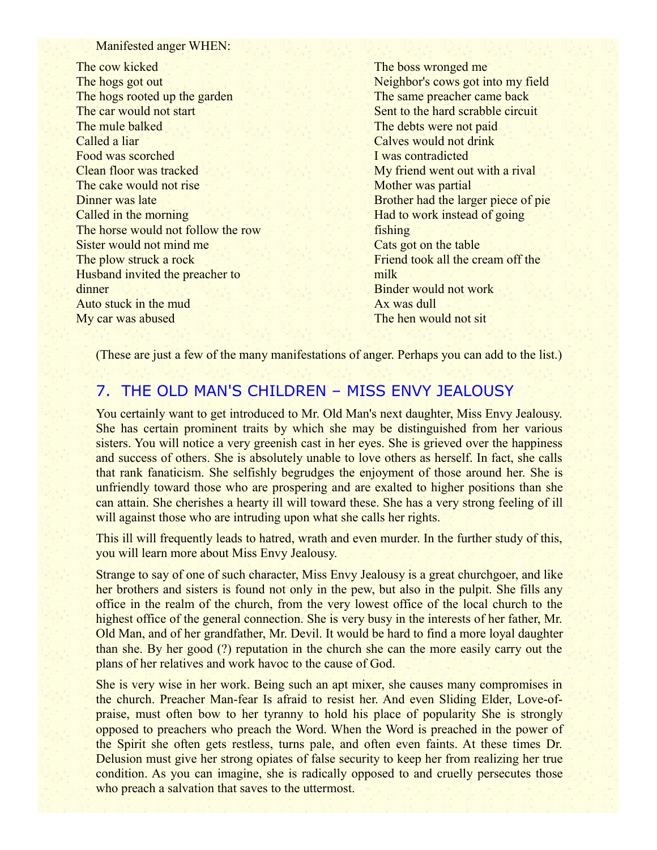#### Manifested anger WHEN:

The cow kicked The hogs got out The hogs rooted up the garden The car would not start The mule balked Called a liar Food was scorched Clean floor was tracked The cake would not rise Dinner was late Called in the morning The horse would not follow the row Sister would not mind me The plow struck a rock Husband invited the preacher to dinner Auto stuck in the mud My car was abused

The boss wronged me Neighbor's cows got into my field The same preacher came back Sent to the hard scrabble circuit The debts were not paid Calves would not drink I was contradicted My friend went out with a rival Mother was partial Brother had the larger piece of pie Had to work instead of going fishing Cats got on the table Friend took all the cream off the milk Binder would not work Ax was dull The hen would not sit

(These are just a few of the many manifestations of anger. Perhaps you can add to the list.)

## 7. THE OLD MAN'S CHILDREN – MISS ENVY JEALOUSY

You certainly want to get introduced to Mr. Old Man's next daughter, Miss Envy Jealousy. She has certain prominent traits by which she may be distinguished from her various sisters. You will notice a very greenish cast in her eyes. She is grieved over the happiness and success of others. She is absolutely unable to love others as herself. In fact, she calls that rank fanaticism. She selfishly begrudges the enjoyment of those around her. She is unfriendly toward those who are prospering and are exalted to higher positions than she can attain. She cherishes a hearty ill will toward these. She has a very strong feeling of ill will against those who are intruding upon what she calls her rights.

This ill will frequently leads to hatred, wrath and even murder. In the further study of this, you will learn more about Miss Envy Jealousy.

Strange to say of one of such character, Miss Envy Jealousy is a great churchgoer, and like her brothers and sisters is found not only in the pew, but also in the pulpit. She fills any office in the realm of the church, from the very lowest office of the local church to the highest office of the general connection. She is very busy in the interests of her father, Mr. Old Man, and of her grandfather, Mr. Devil. It would be hard to find a more loyal daughter than she. By her good (?) reputation in the church she can the more easily carry out the plans of her relatives and work havoc to the cause of God.

She is very wise in her work. Being such an apt mixer, she causes many compromises in the church. Preacher Man-fear Is afraid to resist her. And even Sliding Elder, Love-ofpraise, must often bow to her tyranny to hold his place of popularity She is strongly opposed to preachers who preach the Word. When the Word is preached in the power of the Spirit she often gets restless, turns pale, and often even faints. At these times Dr. Delusion must give her strong opiates of false security to keep her from realizing her true condition. As you can imagine, she is radically opposed to and cruelly persecutes those who preach a salvation that saves to the uttermost.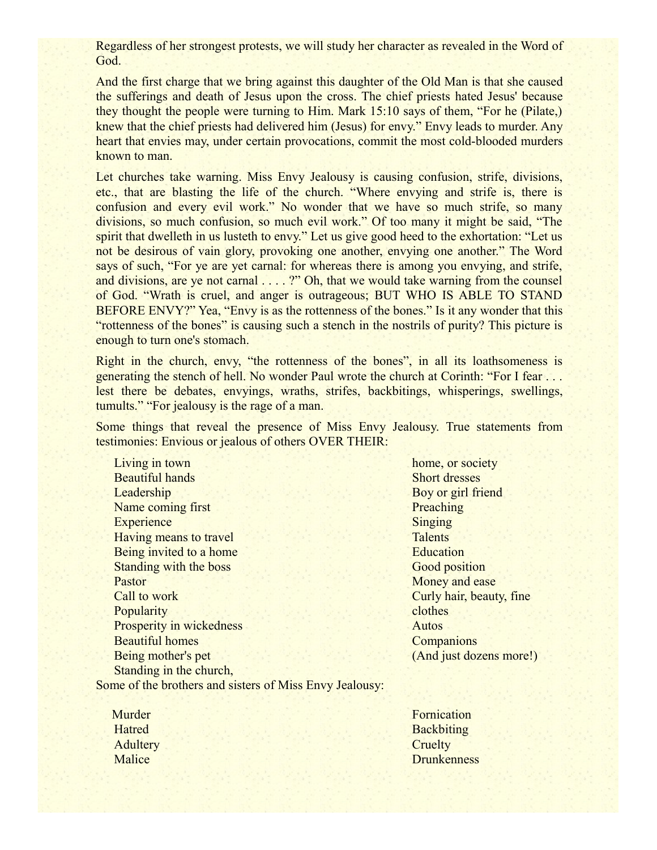Regardless of her strongest protests, we will study her character as revealed in the Word of God.

And the first charge that we bring against this daughter of the Old Man is that she caused the sufferings and death of Jesus upon the cross. The chief priests hated Jesus' because they thought the people were turning to Him. Mark 15:10 says of them, "For he (Pilate,) knew that the chief priests had delivered him (Jesus) for envy." Envy leads to murder. Any heart that envies may, under certain provocations, commit the most cold-blooded murders known to man.

Let churches take warning. Miss Envy Jealousy is causing confusion, strife, divisions, etc., that are blasting the life of the church. "Where envying and strife is, there is confusion and every evil work." No wonder that we have so much strife, so many divisions, so much confusion, so much evil work." Of too many it might be said, "The spirit that dwelleth in us lusteth to envy." Let us give good heed to the exhortation: "Let us not be desirous of vain glory, provoking one another, envying one another." The Word says of such, "For ye are yet carnal: for whereas there is among you envying, and strife, and divisions, are ye not carnal . . . . ?" Oh, that we would take warning from the counsel of God. "Wrath is cruel, and anger is outrageous; BUT WHO IS ABLE TO STAND BEFORE ENVY?" Yea, "Envy is as the rottenness of the bones." Is it any wonder that this "rottenness of the bones" is causing such a stench in the nostrils of purity? This picture is enough to turn one's stomach.

Right in the church, envy, "the rottenness of the bones", in all its loathsomeness is generating the stench of hell. No wonder Paul wrote the church at Corinth: "For I fear . . . lest there be debates, envyings, wraths, strifes, backbitings, whisperings, swellings, tumults." "For jealousy is the rage of a man.

Some things that reveal the presence of Miss Envy Jealousy. True statements from testimonies: Envious or jealous of others OVER THEIR:

Living in town Beautiful hands **Leadership** Name coming first **Experience** Having means to travel Being invited to a home Standing with the boss Pastor Call to work **Popularity** Prosperity in wickedness Beautiful homes Being mother's pet Standing in the church,

home, or society Short dresses Boy or girl friend **Preaching** Singing **Talents Education** Good position Money and ease Curly hair, beauty, fine clothes Autos **Companions** (And just dozens more!)

Some of the brothers and sisters of Miss Envy Jealousy:

 Murder Hatred **Adultery** Malice

Fornication **Backbiting Cruelty Drunkenness**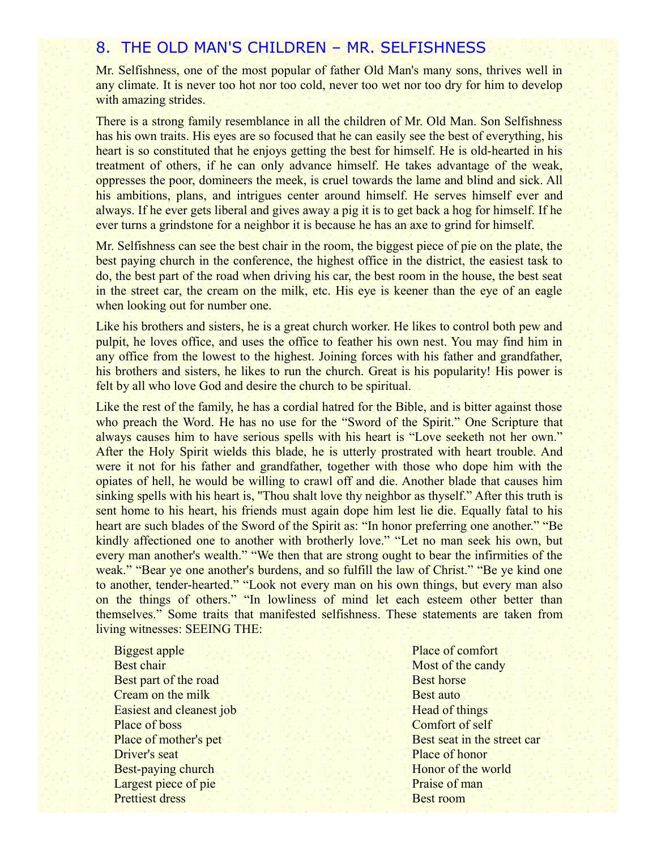### 8. THE OLD MAN'S CHILDREN – MR. SELFISHNESS

Mr. Selfishness, one of the most popular of father Old Man's many sons, thrives well in any climate. It is never too hot nor too cold, never too wet nor too dry for him to develop with amazing strides.

There is a strong family resemblance in all the children of Mr. Old Man. Son Selfishness has his own traits. His eyes are so focused that he can easily see the best of everything, his heart is so constituted that he enjoys getting the best for himself. He is old-hearted in his treatment of others, if he can only advance himself. He takes advantage of the weak, oppresses the poor, domineers the meek, is cruel towards the lame and blind and sick. All his ambitions, plans, and intrigues center around himself. He serves himself ever and always. If he ever gets liberal and gives away a pig it is to get back a hog for himself. If he ever turns a grindstone for a neighbor it is because he has an axe to grind for himself.

Mr. Selfishness can see the best chair in the room, the biggest piece of pie on the plate, the best paying church in the conference, the highest office in the district, the easiest task to do, the best part of the road when driving his car, the best room in the house, the best seat in the street car, the cream on the milk, etc. His eye is keener than the eye of an eagle when looking out for number one.

Like his brothers and sisters, he is a great church worker. He likes to control both pew and pulpit, he loves office, and uses the office to feather his own nest. You may find him in any office from the lowest to the highest. Joining forces with his father and grandfather, his brothers and sisters, he likes to run the church. Great is his popularity! His power is felt by all who love God and desire the church to be spiritual.

Like the rest of the family, he has a cordial hatred for the Bible, and is bitter against those who preach the Word. He has no use for the "Sword of the Spirit." One Scripture that always causes him to have serious spells with his heart is "Love seeketh not her own." After the Holy Spirit wields this blade, he is utterly prostrated with heart trouble. And were it not for his father and grandfather, together with those who dope him with the opiates of hell, he would be willing to crawl off and die. Another blade that causes him sinking spells with his heart is, "Thou shalt love thy neighbor as thyself." After this truth is sent home to his heart, his friends must again dope him lest lie die. Equally fatal to his heart are such blades of the Sword of the Spirit as: "In honor preferring one another." "Be kindly affectioned one to another with brotherly love." "Let no man seek his own, but every man another's wealth." "We then that are strong ought to bear the infirmities of the weak." "Bear ye one another's burdens, and so fulfill the law of Christ." "Be ye kind one to another, tender-hearted." "Look not every man on his own things, but every man also on the things of others." "In lowliness of mind let each esteem other better than themselves." Some traits that manifested selfishness. These statements are taken from living witnesses: SEEING THE:

Biggest apple Best chair Best part of the road Cream on the milk Easiest and cleanest job Place of boss Place of mother's pet Driver's seat Best-paying church Largest piece of pie Prettiest dress

Place of comfort Most of the candy Best horse Best auto Head of things Comfort of self Best seat in the street car Place of honor Honor of the world Praise of man Best room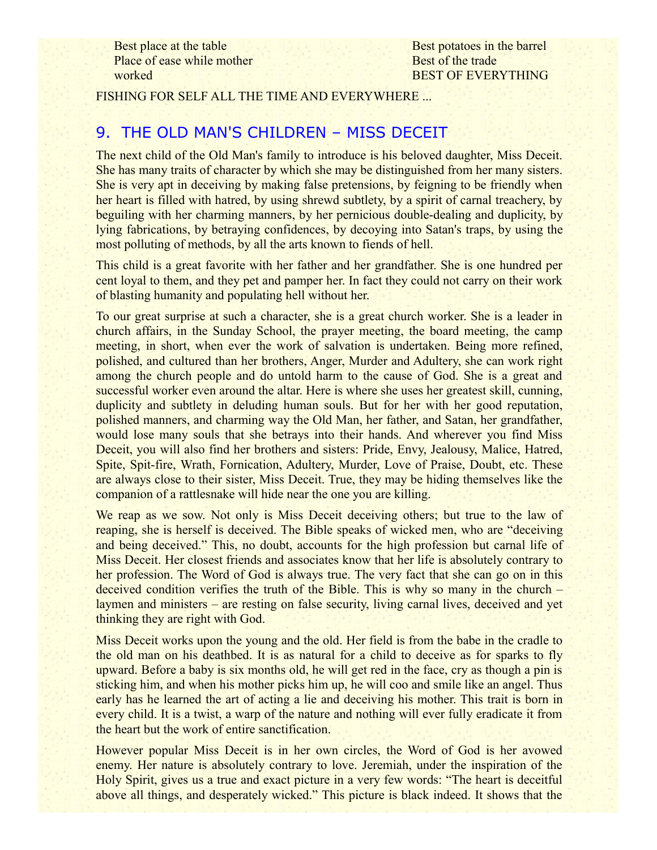Best place at the table Place of ease while mother worked

Best potatoes in the barrel Best of the trade BEST OF EVERYTHING

FISHING FOR SELF ALL THE TIME AND EVERYWHERE ...

## 9. THE OLD MAN'S CHILDREN – MISS DECEIT

The next child of the Old Man's family to introduce is his beloved daughter, Miss Deceit. She has many traits of character by which she may be distinguished from her many sisters. She is very apt in deceiving by making false pretensions, by feigning to be friendly when her heart is filled with hatred, by using shrewd subtlety, by a spirit of carnal treachery, by beguiling with her charming manners, by her pernicious double-dealing and duplicity, by lying fabrications, by betraying confidences, by decoying into Satan's traps, by using the most polluting of methods, by all the arts known to fiends of hell.

This child is a great favorite with her father and her grandfather. She is one hundred per cent loyal to them, and they pet and pamper her. In fact they could not carry on their work of blasting humanity and populating hell without her.

To our great surprise at such a character, she is a great church worker. She is a leader in church affairs, in the Sunday School, the prayer meeting, the board meeting, the camp meeting, in short, when ever the work of salvation is undertaken. Being more refined, polished, and cultured than her brothers, Anger, Murder and Adultery, she can work right among the church people and do untold harm to the cause of God. She is a great and successful worker even around the altar. Here is where she uses her greatest skill, cunning, duplicity and subtlety in deluding human souls. But for her with her good reputation, polished manners, and charming way the Old Man, her father, and Satan, her grandfather, would lose many souls that she betrays into their hands. And wherever you find Miss Deceit, you will also find her brothers and sisters: Pride, Envy, Jealousy, Malice, Hatred, Spite, Spit-fire, Wrath, Fornication, Adultery, Murder, Love of Praise, Doubt, etc. These are always close to their sister, Miss Deceit. True, they may be hiding themselves like the companion of a rattlesnake will hide near the one you are killing.

We reap as we sow. Not only is Miss Deceit deceiving others; but true to the law of reaping, she is herself is deceived. The Bible speaks of wicked men, who are "deceiving and being deceived." This, no doubt, accounts for the high profession but carnal life of Miss Deceit. Her closest friends and associates know that her life is absolutely contrary to her profession. The Word of God is always true. The very fact that she can go on in this deceived condition verifies the truth of the Bible. This is why so many in the church – laymen and ministers – are resting on false security, living carnal lives, deceived and yet thinking they are right with God.

Miss Deceit works upon the young and the old. Her field is from the babe in the cradle to the old man on his deathbed. It is as natural for a child to deceive as for sparks to fly upward. Before a baby is six months old, he will get red in the face, cry as though a pin is sticking him, and when his mother picks him up, he will coo and smile like an angel. Thus early has he learned the art of acting a lie and deceiving his mother. This trait is born in every child. It is a twist, a warp of the nature and nothing will ever fully eradicate it from the heart but the work of entire sanctification.

However popular Miss Deceit is in her own circles, the Word of God is her avowed enemy. Her nature is absolutely contrary to love. Jeremiah, under the inspiration of the Holy Spirit, gives us a true and exact picture in a very few words: "The heart is deceitful above all things, and desperately wicked." This picture is black indeed. It shows that the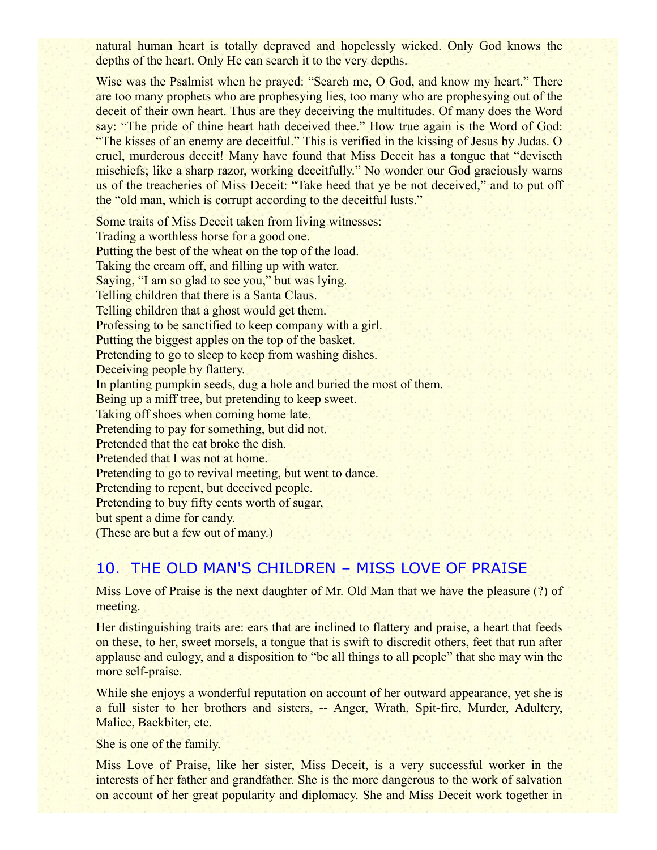natural human heart is totally depraved and hopelessly wicked. Only God knows the depths of the heart. Only He can search it to the very depths.

Wise was the Psalmist when he prayed: "Search me, O God, and know my heart." There are too many prophets who are prophesying lies, too many who are prophesying out of the deceit of their own heart. Thus are they deceiving the multitudes. Of many does the Word say: "The pride of thine heart hath deceived thee." How true again is the Word of God: "The kisses of an enemy are deceitful." This is verified in the kissing of Jesus by Judas. O cruel, murderous deceit! Many have found that Miss Deceit has a tongue that "deviseth mischiefs; like a sharp razor, working deceitfully." No wonder our God graciously warns us of the treacheries of Miss Deceit: "Take heed that ye be not deceived," and to put off the "old man, which is corrupt according to the deceitful lusts."

Some traits of Miss Deceit taken from living witnesses: Trading a worthless horse for a good one. Putting the best of the wheat on the top of the load. Taking the cream off, and filling up with water. Saying, "I am so glad to see you," but was lying. Telling children that there is a Santa Claus. Telling children that a ghost would get them. Professing to be sanctified to keep company with a girl. Putting the biggest apples on the top of the basket. Pretending to go to sleep to keep from washing dishes. Deceiving people by flattery. In planting pumpkin seeds, dug a hole and buried the most of them. Being up a miff tree, but pretending to keep sweet. Taking off shoes when coming home late. Pretending to pay for something, but did not. Pretended that the cat broke the dish. Pretended that I was not at home. Pretending to go to revival meeting, but went to dance. Pretending to repent, but deceived people. Pretending to buy fifty cents worth of sugar, but spent a dime for candy. (These are but a few out of many.)

## 10. THE OLD MAN'S CHILDREN – MISS LOVE OF PRAISE

Miss Love of Praise is the next daughter of Mr. Old Man that we have the pleasure (?) of meeting.

Her distinguishing traits are: ears that are inclined to flattery and praise, a heart that feeds on these, to her, sweet morsels, a tongue that is swift to discredit others, feet that run after applause and eulogy, and a disposition to "be all things to all people" that she may win the more self-praise.

While she enjoys a wonderful reputation on account of her outward appearance, yet she is a full sister to her brothers and sisters, -- Anger, Wrath, Spit-fire, Murder, Adultery, Malice, Backbiter, etc.

She is one of the family.

Miss Love of Praise, like her sister, Miss Deceit, is a very successful worker in the interests of her father and grandfather. She is the more dangerous to the work of salvation on account of her great popularity and diplomacy. She and Miss Deceit work together in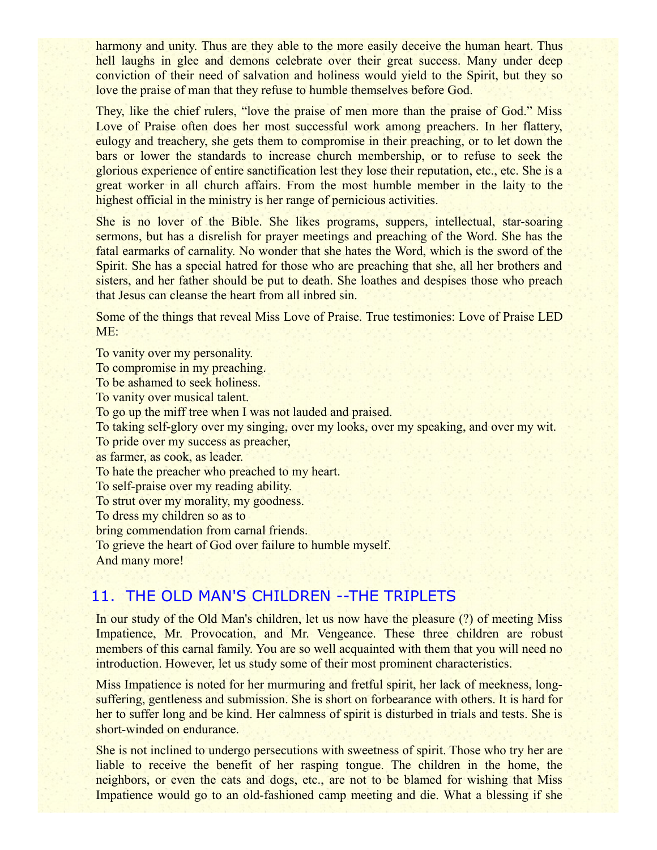harmony and unity. Thus are they able to the more easily deceive the human heart. Thus hell laughs in glee and demons celebrate over their great success. Many under deep conviction of their need of salvation and holiness would yield to the Spirit, but they so love the praise of man that they refuse to humble themselves before God.

They, like the chief rulers, "love the praise of men more than the praise of God." Miss Love of Praise often does her most successful work among preachers. In her flattery, eulogy and treachery, she gets them to compromise in their preaching, or to let down the bars or lower the standards to increase church membership, or to refuse to seek the glorious experience of entire sanctification lest they lose their reputation, etc., etc. She is a great worker in all church affairs. From the most humble member in the laity to the highest official in the ministry is her range of pernicious activities.

She is no lover of the Bible. She likes programs, suppers, intellectual, star-soaring sermons, but has a disrelish for prayer meetings and preaching of the Word. She has the fatal earmarks of carnality. No wonder that she hates the Word, which is the sword of the Spirit. She has a special hatred for those who are preaching that she, all her brothers and sisters, and her father should be put to death. She loathes and despises those who preach that Jesus can cleanse the heart from all inbred sin.

Some of the things that reveal Miss Love of Praise. True testimonies: Love of Praise LED ME:

To vanity over my personality. To compromise in my preaching. To be ashamed to seek holiness. To vanity over musical talent. To go up the miff tree when I was not lauded and praised. To taking self-glory over my singing, over my looks, over my speaking, and over my wit. To pride over my success as preacher, as farmer, as cook, as leader. To hate the preacher who preached to my heart. To self-praise over my reading ability. To strut over my morality, my goodness. To dress my children so as to bring commendation from carnal friends. To grieve the heart of God over failure to humble myself. And many more!

## 11. THE OLD MAN'S CHILDREN --THE TRIPLETS

In our study of the Old Man's children, let us now have the pleasure (?) of meeting Miss Impatience, Mr. Provocation, and Mr. Vengeance. These three children are robust members of this carnal family. You are so well acquainted with them that you will need no introduction. However, let us study some of their most prominent characteristics.

Miss Impatience is noted for her murmuring and fretful spirit, her lack of meekness, longsuffering, gentleness and submission. She is short on forbearance with others. It is hard for her to suffer long and be kind. Her calmness of spirit is disturbed in trials and tests. She is short-winded on endurance.

She is not inclined to undergo persecutions with sweetness of spirit. Those who try her are liable to receive the benefit of her rasping tongue. The children in the home, the neighbors, or even the cats and dogs, etc., are not to be blamed for wishing that Miss Impatience would go to an old-fashioned camp meeting and die. What a blessing if she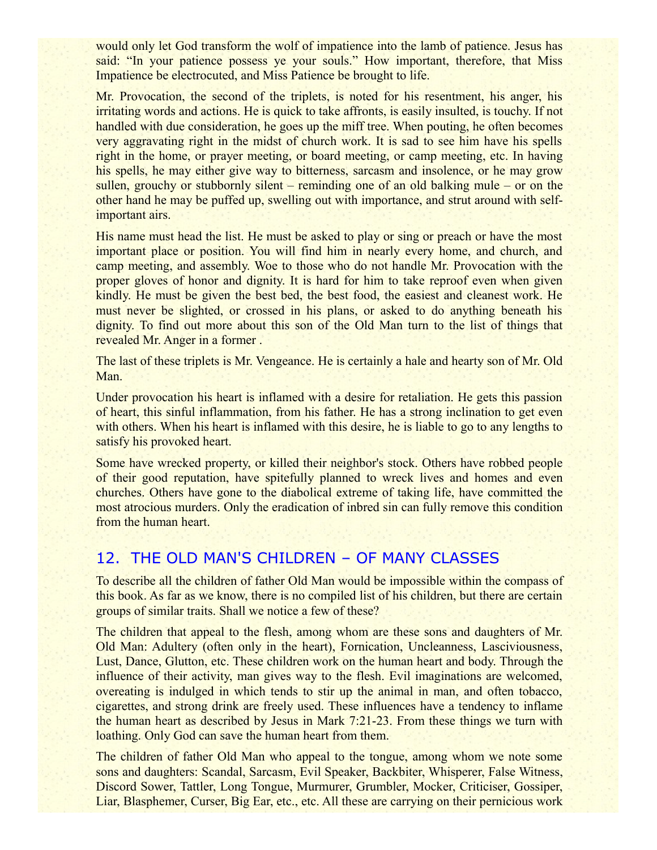would only let God transform the wolf of impatience into the lamb of patience. Jesus has said: "In your patience possess ye your souls." How important, therefore, that Miss Impatience be electrocuted, and Miss Patience be brought to life.

Mr. Provocation, the second of the triplets, is noted for his resentment, his anger, his irritating words and actions. He is quick to take affronts, is easily insulted, is touchy. If not handled with due consideration, he goes up the miff tree. When pouting, he often becomes very aggravating right in the midst of church work. It is sad to see him have his spells right in the home, or prayer meeting, or board meeting, or camp meeting, etc. In having his spells, he may either give way to bitterness, sarcasm and insolence, or he may grow sullen, grouchy or stubbornly silent – reminding one of an old balking mule – or on the other hand he may be puffed up, swelling out with importance, and strut around with selfimportant airs.

His name must head the list. He must be asked to play or sing or preach or have the most important place or position. You will find him in nearly every home, and church, and camp meeting, and assembly. Woe to those who do not handle Mr. Provocation with the proper gloves of honor and dignity. It is hard for him to take reproof even when given kindly. He must be given the best bed, the best food, the easiest and cleanest work. He must never be slighted, or crossed in his plans, or asked to do anything beneath his dignity. To find out more about this son of the Old Man turn to the list of things that revealed Mr. Anger in a former .

The last of these triplets is Mr. Vengeance. He is certainly a hale and hearty son of Mr. Old Man.

Under provocation his heart is inflamed with a desire for retaliation. He gets this passion of heart, this sinful inflammation, from his father. He has a strong inclination to get even with others. When his heart is inflamed with this desire, he is liable to go to any lengths to satisfy his provoked heart.

Some have wrecked property, or killed their neighbor's stock. Others have robbed people of their good reputation, have spitefully planned to wreck lives and homes and even churches. Others have gone to the diabolical extreme of taking life, have committed the most atrocious murders. Only the eradication of inbred sin can fully remove this condition from the human heart.

## 12. THE OLD MAN'S CHILDREN – OF MANY CLASSES

To describe all the children of father Old Man would be impossible within the compass of this book. As far as we know, there is no compiled list of his children, but there are certain groups of similar traits. Shall we notice a few of these?

The children that appeal to the flesh, among whom are these sons and daughters of Mr. Old Man: Adultery (often only in the heart), Fornication, Uncleanness, Lasciviousness, Lust, Dance, Glutton, etc. These children work on the human heart and body. Through the influence of their activity, man gives way to the flesh. Evil imaginations are welcomed, overeating is indulged in which tends to stir up the animal in man, and often tobacco, cigarettes, and strong drink are freely used. These influences have a tendency to inflame the human heart as described by Jesus in Mark 7:21-23. From these things we turn with loathing. Only God can save the human heart from them.

The children of father Old Man who appeal to the tongue, among whom we note some sons and daughters: Scandal, Sarcasm, Evil Speaker, Backbiter, Whisperer, False Witness, Discord Sower, Tattler, Long Tongue, Murmurer, Grumbler, Mocker, Criticiser, Gossiper, Liar, Blasphemer, Curser, Big Ear, etc., etc. All these are carrying on their pernicious work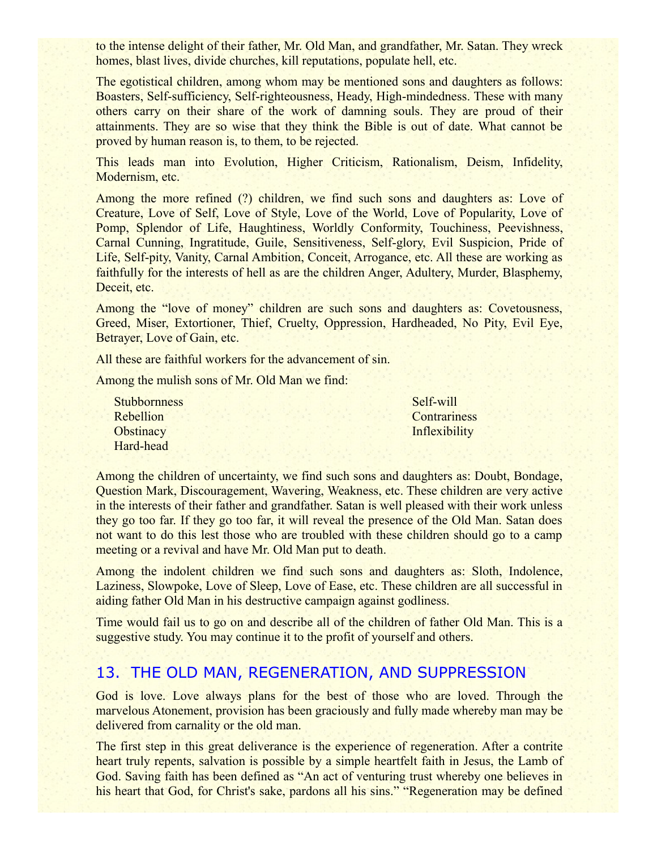to the intense delight of their father, Mr. Old Man, and grandfather, Mr. Satan. They wreck homes, blast lives, divide churches, kill reputations, populate hell, etc.

The egotistical children, among whom may be mentioned sons and daughters as follows: Boasters, Self-sufficiency, Self-righteousness, Heady, High-mindedness. These with many others carry on their share of the work of damning souls. They are proud of their attainments. They are so wise that they think the Bible is out of date. What cannot be proved by human reason is, to them, to be rejected.

This leads man into Evolution, Higher Criticism, Rationalism, Deism, Infidelity, Modernism, etc.

Among the more refined (?) children, we find such sons and daughters as: Love of Creature, Love of Self, Love of Style, Love of the World, Love of Popularity, Love of Pomp, Splendor of Life, Haughtiness, Worldly Conformity, Touchiness, Peevishness, Carnal Cunning, Ingratitude, Guile, Sensitiveness, Self-glory, Evil Suspicion, Pride of Life, Self-pity, Vanity, Carnal Ambition, Conceit, Arrogance, etc. All these are working as faithfully for the interests of hell as are the children Anger, Adultery, Murder, Blasphemy, Deceit, etc.

Among the "love of money" children are such sons and daughters as: Covetousness, Greed, Miser, Extortioner, Thief, Cruelty, Oppression, Hardheaded, No Pity, Evil Eye, Betrayer, Love of Gain, etc.

All these are faithful workers for the advancement of sin.

Among the mulish sons of Mr. Old Man we find:

**Stubbornness** Rebellion **Obstinacy** Hard-head

Self-will **Contrariness Inflexibility** 

Among the children of uncertainty, we find such sons and daughters as: Doubt, Bondage, Question Mark, Discouragement, Wavering, Weakness, etc. These children are very active in the interests of their father and grandfather. Satan is well pleased with their work unless they go too far. If they go too far, it will reveal the presence of the Old Man. Satan does not want to do this lest those who are troubled with these children should go to a camp meeting or a revival and have Mr. Old Man put to death.

Among the indolent children we find such sons and daughters as: Sloth, Indolence, Laziness, Slowpoke, Love of Sleep, Love of Ease, etc. These children are all successful in aiding father Old Man in his destructive campaign against godliness.

Time would fail us to go on and describe all of the children of father Old Man. This is a suggestive study. You may continue it to the profit of yourself and others.

### 13. THE OLD MAN, REGENERATION, AND SUPPRESSION

God is love. Love always plans for the best of those who are loved. Through the marvelous Atonement, provision has been graciously and fully made whereby man may be delivered from carnality or the old man.

The first step in this great deliverance is the experience of regeneration. After a contrite heart truly repents, salvation is possible by a simple heartfelt faith in Jesus, the Lamb of God. Saving faith has been defined as "An act of venturing trust whereby one believes in his heart that God, for Christ's sake, pardons all his sins." "Regeneration may be defined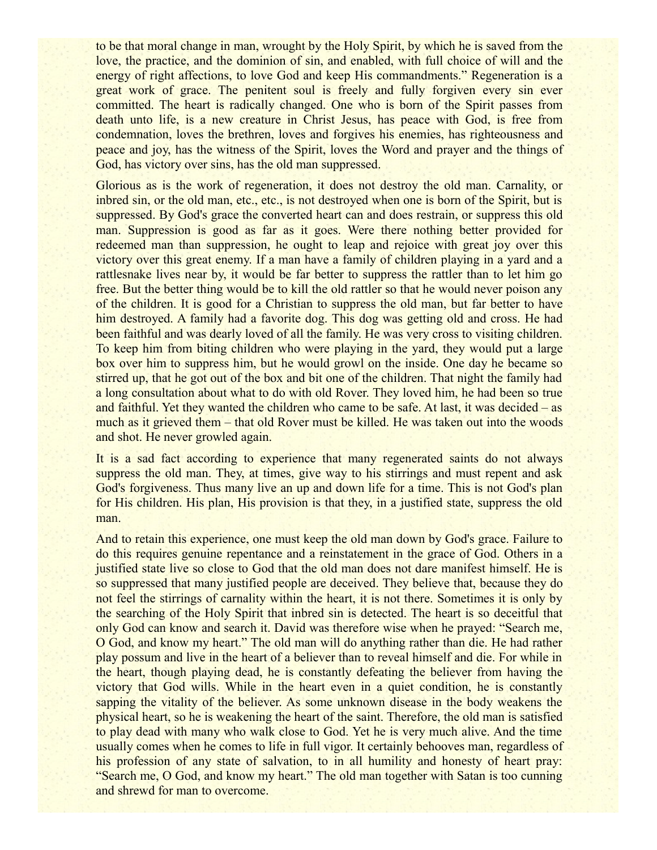to be that moral change in man, wrought by the Holy Spirit, by which he is saved from the love, the practice, and the dominion of sin, and enabled, with full choice of will and the energy of right affections, to love God and keep His commandments." Regeneration is a great work of grace. The penitent soul is freely and fully forgiven every sin ever committed. The heart is radically changed. One who is born of the Spirit passes from death unto life, is a new creature in Christ Jesus, has peace with God, is free from condemnation, loves the brethren, loves and forgives his enemies, has righteousness and peace and joy, has the witness of the Spirit, loves the Word and prayer and the things of God, has victory over sins, has the old man suppressed.

Glorious as is the work of regeneration, it does not destroy the old man. Carnality, or inbred sin, or the old man, etc., etc., is not destroyed when one is born of the Spirit, but is suppressed. By God's grace the converted heart can and does restrain, or suppress this old man. Suppression is good as far as it goes. Were there nothing better provided for redeemed man than suppression, he ought to leap and rejoice with great joy over this victory over this great enemy. If a man have a family of children playing in a yard and a rattlesnake lives near by, it would be far better to suppress the rattler than to let him go free. But the better thing would be to kill the old rattler so that he would never poison any of the children. It is good for a Christian to suppress the old man, but far better to have him destroyed. A family had a favorite dog. This dog was getting old and cross. He had been faithful and was dearly loved of all the family. He was very cross to visiting children. To keep him from biting children who were playing in the yard, they would put a large box over him to suppress him, but he would growl on the inside. One day he became so stirred up, that he got out of the box and bit one of the children. That night the family had a long consultation about what to do with old Rover. They loved him, he had been so true and faithful. Yet they wanted the children who came to be safe. At last, it was decided – as much as it grieved them – that old Rover must be killed. He was taken out into the woods and shot. He never growled again.

It is a sad fact according to experience that many regenerated saints do not always suppress the old man. They, at times, give way to his stirrings and must repent and ask God's forgiveness. Thus many live an up and down life for a time. This is not God's plan for His children. His plan, His provision is that they, in a justified state, suppress the old man.

And to retain this experience, one must keep the old man down by God's grace. Failure to do this requires genuine repentance and a reinstatement in the grace of God. Others in a justified state live so close to God that the old man does not dare manifest himself. He is so suppressed that many justified people are deceived. They believe that, because they do not feel the stirrings of carnality within the heart, it is not there. Sometimes it is only by the searching of the Holy Spirit that inbred sin is detected. The heart is so deceitful that only God can know and search it. David was therefore wise when he prayed: "Search me, O God, and know my heart." The old man will do anything rather than die. He had rather play possum and live in the heart of a believer than to reveal himself and die. For while in the heart, though playing dead, he is constantly defeating the believer from having the victory that God wills. While in the heart even in a quiet condition, he is constantly sapping the vitality of the believer. As some unknown disease in the body weakens the physical heart, so he is weakening the heart of the saint. Therefore, the old man is satisfied to play dead with many who walk close to God. Yet he is very much alive. And the time usually comes when he comes to life in full vigor. It certainly behooves man, regardless of his profession of any state of salvation, to in all humility and honesty of heart pray: "Search me, O God, and know my heart." The old man together with Satan is too cunning and shrewd for man to overcome.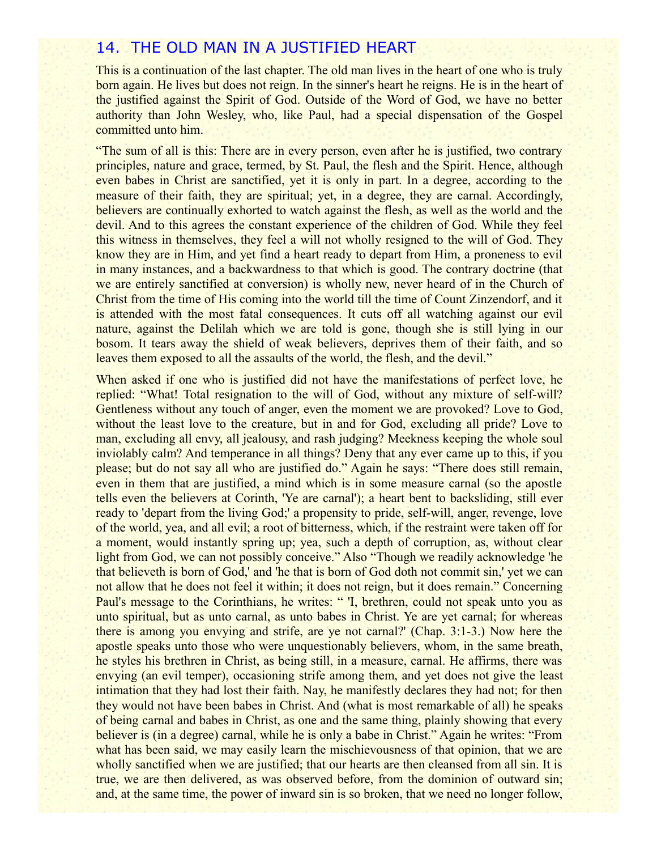### 14. THE OLD MAN IN A JUSTIFIED HEART

This is a continuation of the last chapter. The old man lives in the heart of one who is truly born again. He lives but does not reign. In the sinner's heart he reigns. He is in the heart of the justified against the Spirit of God. Outside of the Word of God, we have no better authority than John Wesley, who, like Paul, had a special dispensation of the Gospel committed unto him.

"The sum of all is this: There are in every person, even after he is justified, two contrary principles, nature and grace, termed, by St. Paul, the flesh and the Spirit. Hence, although even babes in Christ are sanctified, yet it is only in part. In a degree, according to the measure of their faith, they are spiritual; yet, in a degree, they are carnal. Accordingly, believers are continually exhorted to watch against the flesh, as well as the world and the devil. And to this agrees the constant experience of the children of God. While they feel this witness in themselves, they feel a will not wholly resigned to the will of God. They know they are in Him, and yet find a heart ready to depart from Him, a proneness to evil in many instances, and a backwardness to that which is good. The contrary doctrine (that we are entirely sanctified at conversion) is wholly new, never heard of in the Church of Christ from the time of His coming into the world till the time of Count Zinzendorf, and it is attended with the most fatal consequences. It cuts off all watching against our evil nature, against the Delilah which we are told is gone, though she is still lying in our bosom. It tears away the shield of weak believers, deprives them of their faith, and so leaves them exposed to all the assaults of the world, the flesh, and the devil."

When asked if one who is justified did not have the manifestations of perfect love, he replied: "What! Total resignation to the will of God, without any mixture of self-will? Gentleness without any touch of anger, even the moment we are provoked? Love to God, without the least love to the creature, but in and for God, excluding all pride? Love to man, excluding all envy, all jealousy, and rash judging? Meekness keeping the whole soul inviolably calm? And temperance in all things? Deny that any ever came up to this, if you please; but do not say all who are justified do." Again he says: "There does still remain, even in them that are justified, a mind which is in some measure carnal (so the apostle tells even the believers at Corinth, 'Ye are carnal'); a heart bent to backsliding, still ever ready to 'depart from the living God;' a propensity to pride, self-will, anger, revenge, love of the world, yea, and all evil; a root of bitterness, which, if the restraint were taken off for a moment, would instantly spring up; yea, such a depth of corruption, as, without clear light from God, we can not possibly conceive." Also "Though we readily acknowledge 'he that believeth is born of God,' and 'he that is born of God doth not commit sin,' yet we can not allow that he does not feel it within; it does not reign, but it does remain." Concerning Paul's message to the Corinthians, he writes: "I, brethren, could not speak unto you as unto spiritual, but as unto carnal, as unto babes in Christ. Ye are yet carnal; for whereas there is among you envying and strife, are ye not carnal?' (Chap. 3:1-3.) Now here the apostle speaks unto those who were unquestionably believers, whom, in the same breath, he styles his brethren in Christ, as being still, in a measure, carnal. He affirms, there was envying (an evil temper), occasioning strife among them, and yet does not give the least intimation that they had lost their faith. Nay, he manifestly declares they had not; for then they would not have been babes in Christ. And (what is most remarkable of all) he speaks of being carnal and babes in Christ, as one and the same thing, plainly showing that every believer is (in a degree) carnal, while he is only a babe in Christ." Again he writes: "From what has been said, we may easily learn the mischievousness of that opinion, that we are wholly sanctified when we are justified; that our hearts are then cleansed from all sin. It is true, we are then delivered, as was observed before, from the dominion of outward sin; and, at the same time, the power of inward sin is so broken, that we need no longer follow,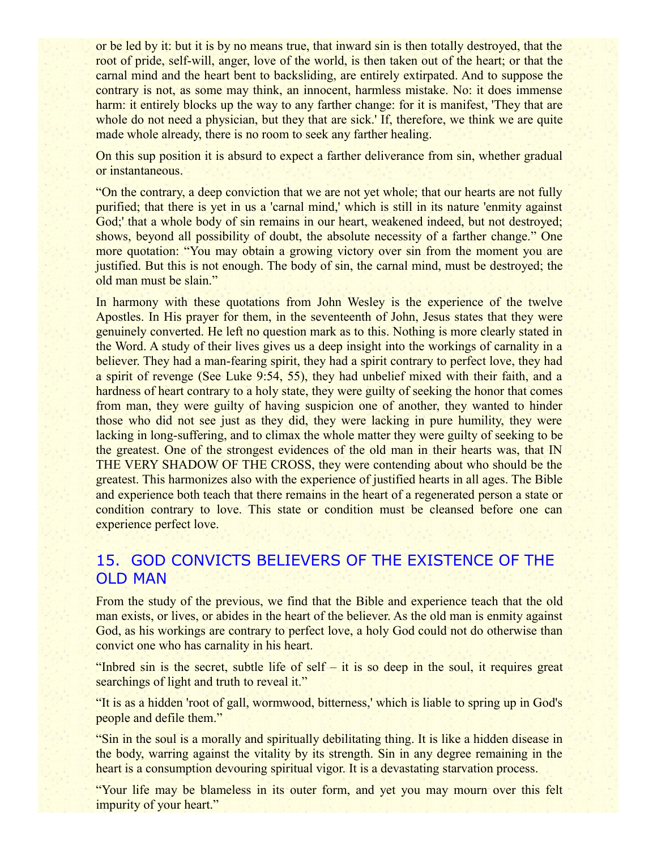or be led by it: but it is by no means true, that inward sin is then totally destroyed, that the root of pride, self-will, anger, love of the world, is then taken out of the heart; or that the carnal mind and the heart bent to backsliding, are entirely extirpated. And to suppose the contrary is not, as some may think, an innocent, harmless mistake. No: it does immense harm: it entirely blocks up the way to any farther change: for it is manifest, 'They that are whole do not need a physician, but they that are sick.' If, therefore, we think we are quite made whole already, there is no room to seek any farther healing.

On this sup position it is absurd to expect a farther deliverance from sin, whether gradual or instantaneous.

"On the contrary, a deep conviction that we are not yet whole; that our hearts are not fully purified; that there is yet in us a 'carnal mind,' which is still in its nature 'enmity against God;' that a whole body of sin remains in our heart, weakened indeed, but not destroyed; shows, beyond all possibility of doubt, the absolute necessity of a farther change." One more quotation: "You may obtain a growing victory over sin from the moment you are justified. But this is not enough. The body of sin, the carnal mind, must be destroyed; the old man must be slain."

In harmony with these quotations from John Wesley is the experience of the twelve Apostles. In His prayer for them, in the seventeenth of John, Jesus states that they were genuinely converted. He left no question mark as to this. Nothing is more clearly stated in the Word. A study of their lives gives us a deep insight into the workings of carnality in a believer. They had a man-fearing spirit, they had a spirit contrary to perfect love, they had a spirit of revenge (See Luke 9:54, 55), they had unbelief mixed with their faith, and a hardness of heart contrary to a holy state, they were guilty of seeking the honor that comes from man, they were guilty of having suspicion one of another, they wanted to hinder those who did not see just as they did, they were lacking in pure humility, they were lacking in long-suffering, and to climax the whole matter they were guilty of seeking to be the greatest. One of the strongest evidences of the old man in their hearts was, that IN THE VERY SHADOW OF THE CROSS, they were contending about who should be the greatest. This harmonizes also with the experience of justified hearts in all ages. The Bible and experience both teach that there remains in the heart of a regenerated person a state or condition contrary to love. This state or condition must be cleansed before one can experience perfect love.

## 15. GOD CONVICTS BELIEVERS OF THE EXISTENCE OF THE OLD MAN

From the study of the previous, we find that the Bible and experience teach that the old man exists, or lives, or abides in the heart of the believer. As the old man is enmity against God, as his workings are contrary to perfect love, a holy God could not do otherwise than convict one who has carnality in his heart.

"Inbred sin is the secret, subtle life of self – it is so deep in the soul, it requires great searchings of light and truth to reveal it."

"It is as a hidden 'root of gall, wormwood, bitterness,' which is liable to spring up in God's people and defile them."

"Sin in the soul is a morally and spiritually debilitating thing. It is like a hidden disease in the body, warring against the vitality by its strength. Sin in any degree remaining in the heart is a consumption devouring spiritual vigor. It is a devastating starvation process.

"Your life may be blameless in its outer form, and yet you may mourn over this felt impurity of your heart."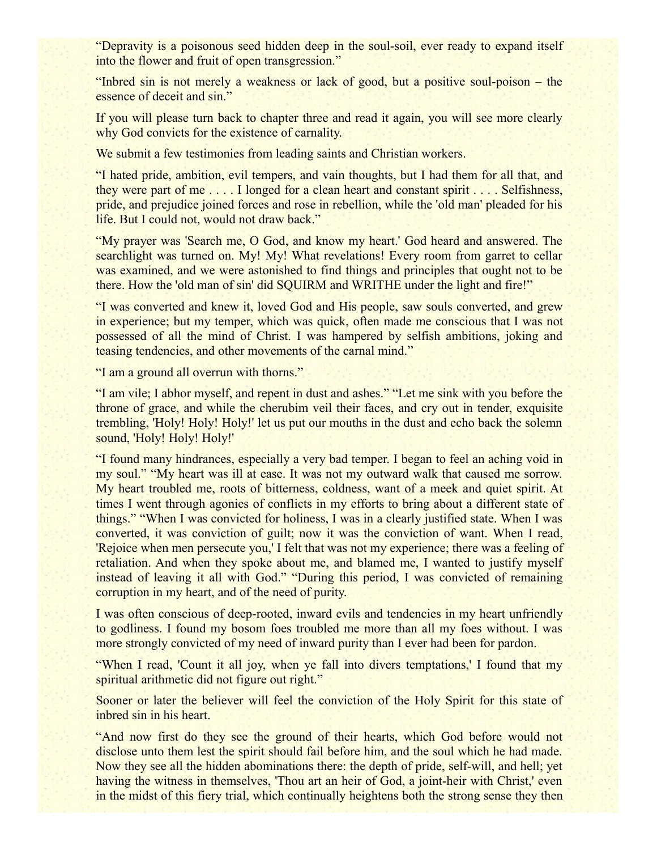"Depravity is a poisonous seed hidden deep in the soul-soil, ever ready to expand itself into the flower and fruit of open transgression."

"Inbred sin is not merely a weakness or lack of good, but a positive soul-poison – the essence of deceit and sin."

If you will please turn back to chapter three and read it again, you will see more clearly why God convicts for the existence of carnality.

We submit a few testimonies from leading saints and Christian workers.

"I hated pride, ambition, evil tempers, and vain thoughts, but I had them for all that, and they were part of me . . . . I longed for a clean heart and constant spirit . . . . Selfishness, pride, and prejudice joined forces and rose in rebellion, while the 'old man' pleaded for his life. But I could not, would not draw back."

"My prayer was 'Search me, O God, and know my heart.' God heard and answered. The searchlight was turned on. My! My! What revelations! Every room from garret to cellar was examined, and we were astonished to find things and principles that ought not to be there. How the 'old man of sin' did SQUIRM and WRITHE under the light and fire!"

"I was converted and knew it, loved God and His people, saw souls converted, and grew in experience; but my temper, which was quick, often made me conscious that I was not possessed of all the mind of Christ. I was hampered by selfish ambitions, joking and teasing tendencies, and other movements of the carnal mind."

"I am a ground all overrun with thorns."

"I am vile; I abhor myself, and repent in dust and ashes." "Let me sink with you before the throne of grace, and while the cherubim veil their faces, and cry out in tender, exquisite trembling, 'Holy! Holy! Holy!' let us put our mouths in the dust and echo back the solemn sound, 'Holy! Holy! Holy!'

"I found many hindrances, especially a very bad temper. I began to feel an aching void in my soul." "My heart was ill at ease. It was not my outward walk that caused me sorrow. My heart troubled me, roots of bitterness, coldness, want of a meek and quiet spirit. At times I went through agonies of conflicts in my efforts to bring about a different state of things." "When I was convicted for holiness, I was in a clearly justified state. When I was converted, it was conviction of guilt; now it was the conviction of want. When I read, 'Rejoice when men persecute you,' I felt that was not my experience; there was a feeling of retaliation. And when they spoke about me, and blamed me, I wanted to justify myself instead of leaving it all with God." "During this period, I was convicted of remaining corruption in my heart, and of the need of purity.

I was often conscious of deep-rooted, inward evils and tendencies in my heart unfriendly to godliness. I found my bosom foes troubled me more than all my foes without. I was more strongly convicted of my need of inward purity than I ever had been for pardon.

"When I read, 'Count it all joy, when ye fall into divers temptations,' I found that my spiritual arithmetic did not figure out right."

Sooner or later the believer will feel the conviction of the Holy Spirit for this state of inbred sin in his heart.

"And now first do they see the ground of their hearts, which God before would not disclose unto them lest the spirit should fail before him, and the soul which he had made. Now they see all the hidden abominations there: the depth of pride, self-will, and hell; yet having the witness in themselves, 'Thou art an heir of God, a joint-heir with Christ,' even in the midst of this fiery trial, which continually heightens both the strong sense they then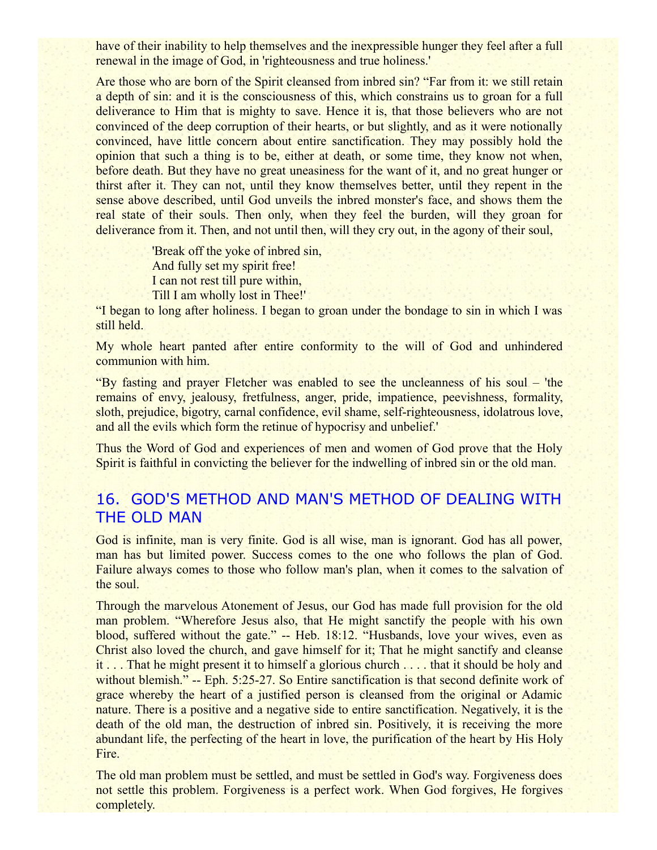have of their inability to help themselves and the inexpressible hunger they feel after a full renewal in the image of God, in 'righteousness and true holiness.'

Are those who are born of the Spirit cleansed from inbred sin? "Far from it: we still retain a depth of sin: and it is the consciousness of this, which constrains us to groan for a full deliverance to Him that is mighty to save. Hence it is, that those believers who are not convinced of the deep corruption of their hearts, or but slightly, and as it were notionally convinced, have little concern about entire sanctification. They may possibly hold the opinion that such a thing is to be, either at death, or some time, they know not when, before death. But they have no great uneasiness for the want of it, and no great hunger or thirst after it. They can not, until they know themselves better, until they repent in the sense above described, until God unveils the inbred monster's face, and shows them the real state of their souls. Then only, when they feel the burden, will they groan for deliverance from it. Then, and not until then, will they cry out, in the agony of their soul,

> 'Break off the yoke of inbred sin, And fully set my spirit free! I can not rest till pure within, Till I am wholly lost in Thee!'

"I began to long after holiness. I began to groan under the bondage to sin in which I was still held.

My whole heart panted after entire conformity to the will of God and unhindered communion with him.

"By fasting and prayer Fletcher was enabled to see the uncleanness of his soul – 'the remains of envy, jealousy, fretfulness, anger, pride, impatience, peevishness, formality, sloth, prejudice, bigotry, carnal confidence, evil shame, self-righteousness, idolatrous love, and all the evils which form the retinue of hypocrisy and unbelief.'

Thus the Word of God and experiences of men and women of God prove that the Holy Spirit is faithful in convicting the believer for the indwelling of inbred sin or the old man.

## 16. GOD'S METHOD AND MAN'S METHOD OF DEALING WITH THE OLD MAN

God is infinite, man is very finite. God is all wise, man is ignorant. God has all power, man has but limited power. Success comes to the one who follows the plan of God. Failure always comes to those who follow man's plan, when it comes to the salvation of the soul.

Through the marvelous Atonement of Jesus, our God has made full provision for the old man problem. "Wherefore Jesus also, that He might sanctify the people with his own blood, suffered without the gate." -- Heb. 18:12. "Husbands, love your wives, even as Christ also loved the church, and gave himself for it; That he might sanctify and cleanse it . . . That he might present it to himself a glorious church . . . . that it should be holy and without blemish." -- Eph. 5:25-27. So Entire sanctification is that second definite work of grace whereby the heart of a justified person is cleansed from the original or Adamic nature. There is a positive and a negative side to entire sanctification. Negatively, it is the death of the old man, the destruction of inbred sin. Positively, it is receiving the more abundant life, the perfecting of the heart in love, the purification of the heart by His Holy Fire.

The old man problem must be settled, and must be settled in God's way. Forgiveness does not settle this problem. Forgiveness is a perfect work. When God forgives, He forgives completely.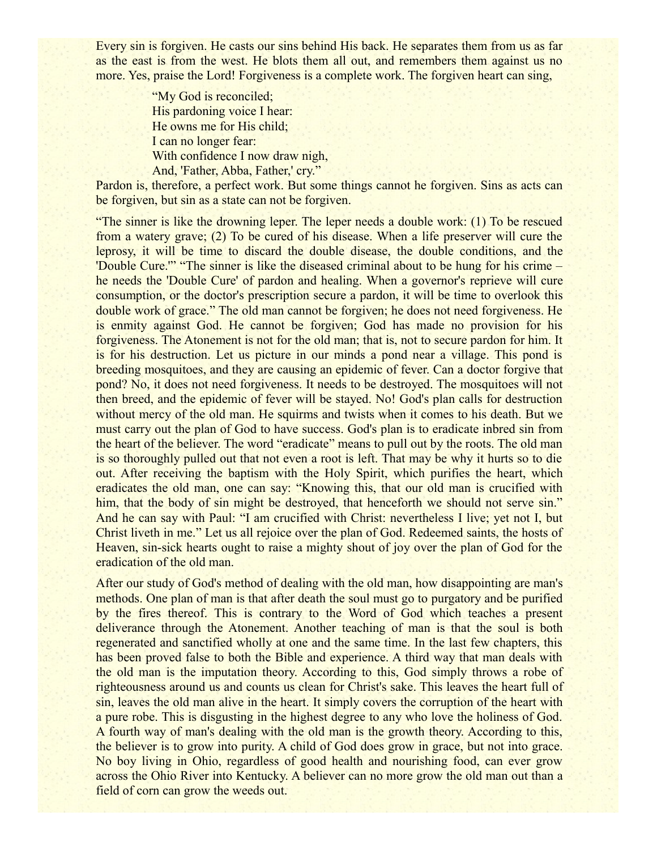Every sin is forgiven. He casts our sins behind His back. He separates them from us as far as the east is from the west. He blots them all out, and remembers them against us no more. Yes, praise the Lord! Forgiveness is a complete work. The forgiven heart can sing,

> "My God is reconciled; His pardoning voice I hear: He owns me for His child; I can no longer fear: With confidence I now draw nigh, And, 'Father, Abba, Father,' cry."

Pardon is, therefore, a perfect work. But some things cannot he forgiven. Sins as acts can be forgiven, but sin as a state can not be forgiven.

"The sinner is like the drowning leper. The leper needs a double work: (1) To be rescued from a watery grave; (2) To be cured of his disease. When a life preserver will cure the leprosy, it will be time to discard the double disease, the double conditions, and the 'Double Cure.'" "The sinner is like the diseased criminal about to be hung for his crime – he needs the 'Double Cure' of pardon and healing. When a governor's reprieve will cure consumption, or the doctor's prescription secure a pardon, it will be time to overlook this double work of grace." The old man cannot be forgiven; he does not need forgiveness. He is enmity against God. He cannot be forgiven; God has made no provision for his forgiveness. The Atonement is not for the old man; that is, not to secure pardon for him. It is for his destruction. Let us picture in our minds a pond near a village. This pond is breeding mosquitoes, and they are causing an epidemic of fever. Can a doctor forgive that pond? No, it does not need forgiveness. It needs to be destroyed. The mosquitoes will not then breed, and the epidemic of fever will be stayed. No! God's plan calls for destruction without mercy of the old man. He squirms and twists when it comes to his death. But we must carry out the plan of God to have success. God's plan is to eradicate inbred sin from the heart of the believer. The word "eradicate" means to pull out by the roots. The old man is so thoroughly pulled out that not even a root is left. That may be why it hurts so to die out. After receiving the baptism with the Holy Spirit, which purifies the heart, which eradicates the old man, one can say: "Knowing this, that our old man is crucified with him, that the body of sin might be destroyed, that henceforth we should not serve sin." And he can say with Paul: "I am crucified with Christ: nevertheless I live; yet not I, but Christ liveth in me." Let us all rejoice over the plan of God. Redeemed saints, the hosts of Heaven, sin-sick hearts ought to raise a mighty shout of joy over the plan of God for the eradication of the old man.

After our study of God's method of dealing with the old man, how disappointing are man's methods. One plan of man is that after death the soul must go to purgatory and be purified by the fires thereof. This is contrary to the Word of God which teaches a present deliverance through the Atonement. Another teaching of man is that the soul is both regenerated and sanctified wholly at one and the same time. In the last few chapters, this has been proved false to both the Bible and experience. A third way that man deals with the old man is the imputation theory. According to this, God simply throws a robe of righteousness around us and counts us clean for Christ's sake. This leaves the heart full of sin, leaves the old man alive in the heart. It simply covers the corruption of the heart with a pure robe. This is disgusting in the highest degree to any who love the holiness of God. A fourth way of man's dealing with the old man is the growth theory. According to this, the believer is to grow into purity. A child of God does grow in grace, but not into grace. No boy living in Ohio, regardless of good health and nourishing food, can ever grow across the Ohio River into Kentucky. A believer can no more grow the old man out than a field of corn can grow the weeds out.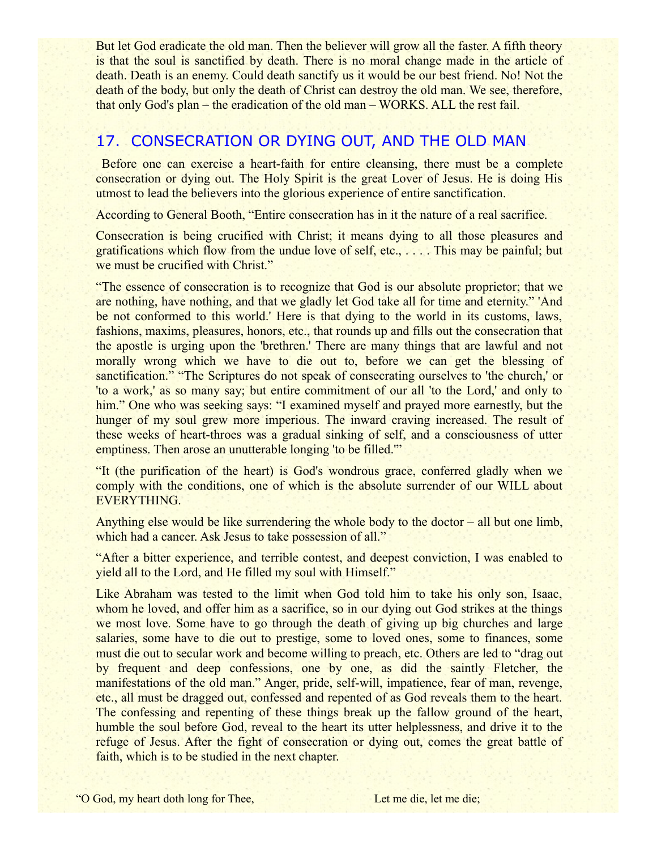But let God eradicate the old man. Then the believer will grow all the faster. A fifth theory is that the soul is sanctified by death. There is no moral change made in the article of death. Death is an enemy. Could death sanctify us it would be our best friend. No! Not the death of the body, but only the death of Christ can destroy the old man. We see, therefore, that only God's plan – the eradication of the old man – WORKS. ALL the rest fail.

## 17. CONSECRATION OR DYING OUT, AND THE OLD MAN

 Before one can exercise a heart-faith for entire cleansing, there must be a complete consecration or dying out. The Holy Spirit is the great Lover of Jesus. He is doing His utmost to lead the believers into the glorious experience of entire sanctification.

According to General Booth, "Entire consecration has in it the nature of a real sacrifice.

Consecration is being crucified with Christ; it means dying to all those pleasures and gratifications which flow from the undue love of self, etc., . . . . This may be painful; but we must be crucified with Christ."

"The essence of consecration is to recognize that God is our absolute proprietor; that we are nothing, have nothing, and that we gladly let God take all for time and eternity." 'And be not conformed to this world.' Here is that dying to the world in its customs, laws, fashions, maxims, pleasures, honors, etc., that rounds up and fills out the consecration that the apostle is urging upon the 'brethren.' There are many things that are lawful and not morally wrong which we have to die out to, before we can get the blessing of sanctification." "The Scriptures do not speak of consecrating ourselves to 'the church,' or 'to a work,' as so many say; but entire commitment of our all 'to the Lord,' and only to him." One who was seeking says: "I examined myself and prayed more earnestly, but the hunger of my soul grew more imperious. The inward craving increased. The result of these weeks of heart-throes was a gradual sinking of self, and a consciousness of utter emptiness. Then arose an unutterable longing 'to be filled."

"It (the purification of the heart) is God's wondrous grace, conferred gladly when we comply with the conditions, one of which is the absolute surrender of our WILL about EVERYTHING.

Anything else would be like surrendering the whole body to the doctor – all but one limb, which had a cancer. Ask Jesus to take possession of all."

"After a bitter experience, and terrible contest, and deepest conviction, I was enabled to yield all to the Lord, and He filled my soul with Himself."

Like Abraham was tested to the limit when God told him to take his only son, Isaac, whom he loved, and offer him as a sacrifice, so in our dying out God strikes at the things we most love. Some have to go through the death of giving up big churches and large salaries, some have to die out to prestige, some to loved ones, some to finances, some must die out to secular work and become willing to preach, etc. Others are led to "drag out by frequent and deep confessions, one by one, as did the saintly Fletcher, the manifestations of the old man." Anger, pride, self-will, impatience, fear of man, revenge, etc., all must be dragged out, confessed and repented of as God reveals them to the heart. The confessing and repenting of these things break up the fallow ground of the heart, humble the soul before God, reveal to the heart its utter helplessness, and drive it to the refuge of Jesus. After the fight of consecration or dying out, comes the great battle of faith, which is to be studied in the next chapter.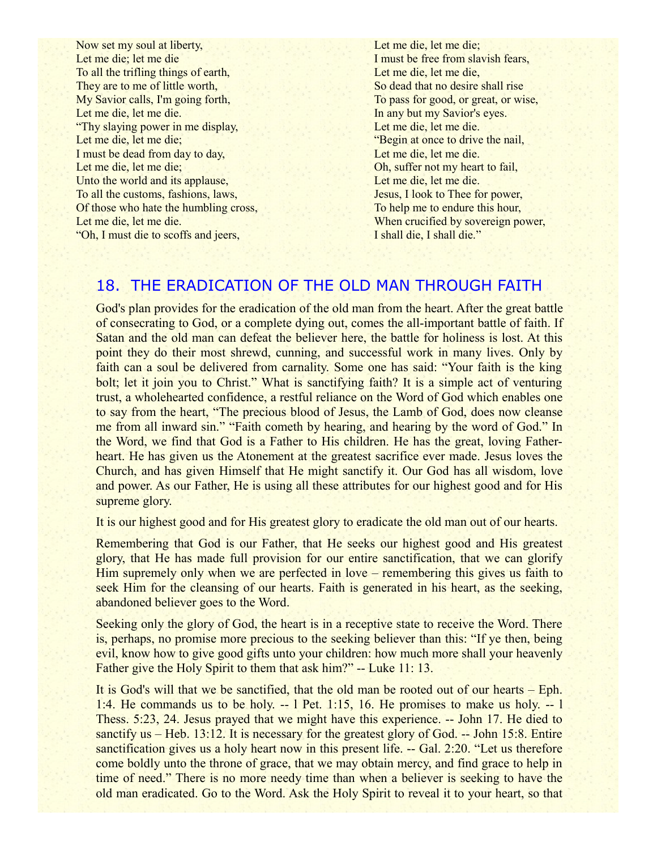Now set my soul at liberty, Let me die; let me die To all the trifling things of earth, They are to me of little worth, My Savior calls, I'm going forth, Let me die, let me die. "Thy slaying power in me display, Let me die, let me die; I must be dead from day to day, Let me die, let me die; Unto the world and its applause, To all the customs, fashions, laws, Of those who hate the humbling cross, Let me die, let me die. "Oh, I must die to scoffs and jeers,

Let me die, let me die; I must be free from slavish fears, Let me die, let me die, So dead that no desire shall rise To pass for good, or great, or wise, In any but my Savior's eyes. Let me die, let me die. "Begin at once to drive the nail, Let me die, let me die. Oh, suffer not my heart to fail, Let me die, let me die. Jesus, I look to Thee for power, To help me to endure this hour, When crucified by sovereign power, I shall die, I shall die."

### 18. THE ERADICATION OF THE OLD MAN THROUGH FAITH

God's plan provides for the eradication of the old man from the heart. After the great battle of consecrating to God, or a complete dying out, comes the all-important battle of faith. If Satan and the old man can defeat the believer here, the battle for holiness is lost. At this point they do their most shrewd, cunning, and successful work in many lives. Only by faith can a soul be delivered from carnality. Some one has said: "Your faith is the king bolt; let it join you to Christ." What is sanctifying faith? It is a simple act of venturing trust, a wholehearted confidence, a restful reliance on the Word of God which enables one to say from the heart, "The precious blood of Jesus, the Lamb of God, does now cleanse me from all inward sin." "Faith cometh by hearing, and hearing by the word of God." In the Word, we find that God is a Father to His children. He has the great, loving Fatherheart. He has given us the Atonement at the greatest sacrifice ever made. Jesus loves the Church, and has given Himself that He might sanctify it. Our God has all wisdom, love and power. As our Father, He is using all these attributes for our highest good and for His supreme glory.

It is our highest good and for His greatest glory to eradicate the old man out of our hearts.

Remembering that God is our Father, that He seeks our highest good and His greatest glory, that He has made full provision for our entire sanctification, that we can glorify Him supremely only when we are perfected in love – remembering this gives us faith to seek Him for the cleansing of our hearts. Faith is generated in his heart, as the seeking, abandoned believer goes to the Word.

Seeking only the glory of God, the heart is in a receptive state to receive the Word. There is, perhaps, no promise more precious to the seeking believer than this: "If ye then, being evil, know how to give good gifts unto your children: how much more shall your heavenly Father give the Holy Spirit to them that ask him?" -- Luke 11: 13.

It is God's will that we be sanctified, that the old man be rooted out of our hearts – Eph. 1:4. He commands us to be holy. -- l Pet. 1:15, 16. He promises to make us holy. -- l Thess. 5:23, 24. Jesus prayed that we might have this experience. -- John 17. He died to sanctify us – Heb. 13:12. It is necessary for the greatest glory of God. -- John 15:8. Entire sanctification gives us a holy heart now in this present life. -- Gal. 2:20. "Let us therefore come boldly unto the throne of grace, that we may obtain mercy, and find grace to help in time of need." There is no more needy time than when a believer is seeking to have the old man eradicated. Go to the Word. Ask the Holy Spirit to reveal it to your heart, so that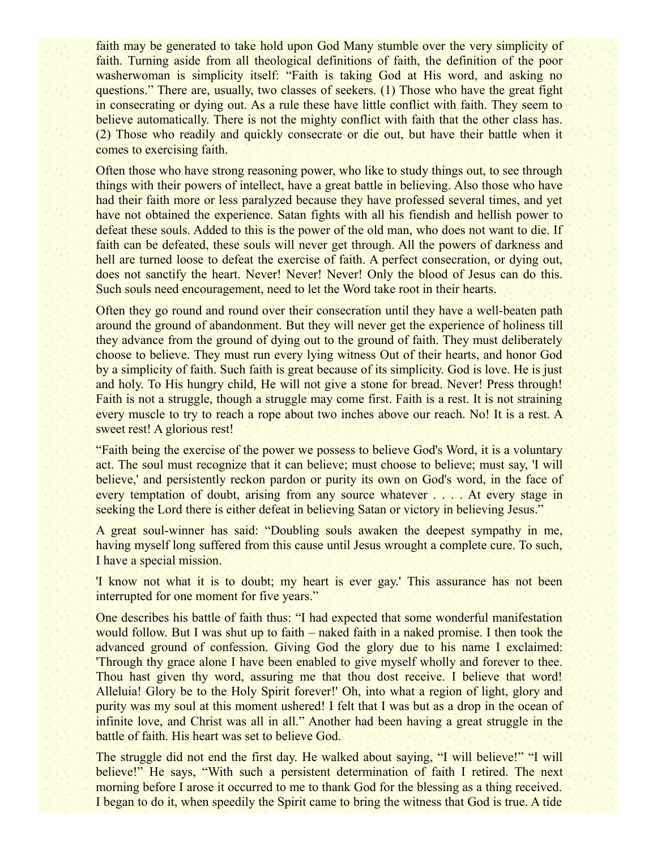faith may be generated to take hold upon God Many stumble over the very simplicity of faith. Turning aside from all theological definitions of faith, the definition of the poor washerwoman is simplicity itself: "Faith is taking God at His word, and asking no questions." There are, usually, two classes of seekers. (1) Those who have the great fight in consecrating or dying out. As a rule these have little conflict with faith. They seem to believe automatically. There is not the mighty conflict with faith that the other class has. (2) Those who readily and quickly consecrate or die out, but have their battle when it comes to exercising faith.

Often those who have strong reasoning power, who like to study things out, to see through things with their powers of intellect, have a great battle in believing. Also those who have had their faith more or less paralyzed because they have professed several times, and yet have not obtained the experience. Satan fights with all his fiendish and hellish power to defeat these souls. Added to this is the power of the old man, who does not want to die. If faith can be defeated, these souls will never get through. All the powers of darkness and hell are turned loose to defeat the exercise of faith. A perfect consecration, or dying out, does not sanctify the heart. Never! Never! Never! Only the blood of Jesus can do this. Such souls need encouragement, need to let the Word take root in their hearts.

Often they go round and round over their consecration until they have a well-beaten path around the ground of abandonment. But they will never get the experience of holiness till they advance from the ground of dying out to the ground of faith. They must deliberately choose to believe. They must run every lying witness Out of their hearts, and honor God by a simplicity of faith. Such faith is great because of its simplicity. God is love. He is just and holy. To His hungry child, He will not give a stone for bread. Never! Press through! Faith is not a struggle, though a struggle may come first. Faith is a rest. It is not straining every muscle to try to reach a rope about two inches above our reach. No! It is a rest. A sweet rest! A glorious rest!

"Faith being the exercise of the power we possess to believe God's Word, it is a voluntary act. The soul must recognize that it can believe; must choose to believe; must say, 'I will believe,' and persistently reckon pardon or purity its own on God's word, in the face of every temptation of doubt, arising from any source whatever . . . . At every stage in seeking the Lord there is either defeat in believing Satan or victory in believing Jesus."

A great soul-winner has said: "Doubling souls awaken the deepest sympathy in me, having myself long suffered from this cause until Jesus wrought a complete cure. To such, I have a special mission.

'I know not what it is to doubt; my heart is ever gay.' This assurance has not been interrupted for one moment for five years."

One describes his battle of faith thus: "I had expected that some wonderful manifestation would follow. But I was shut up to faith – naked faith in a naked promise. I then took the advanced ground of confession. Giving God the glory due to his name I exclaimed: 'Through thy grace alone I have been enabled to give myself wholly and forever to thee. Thou hast given thy word, assuring me that thou dost receive. I believe that word! Alleluia! Glory be to the Holy Spirit forever!' Oh, into what a region of light, glory and purity was my soul at this moment ushered! I felt that I was but as a drop in the ocean of infinite love, and Christ was all in all." Another had been having a great struggle in the battle of faith. His heart was set to believe God.

The struggle did not end the first day. He walked about saying, "I will believe!" "I will believe!" He says, "With such a persistent determination of faith I retired. The next morning before I arose it occurred to me to thank God for the blessing as a thing received. I began to do it, when speedily the Spirit came to bring the witness that God is true. A tide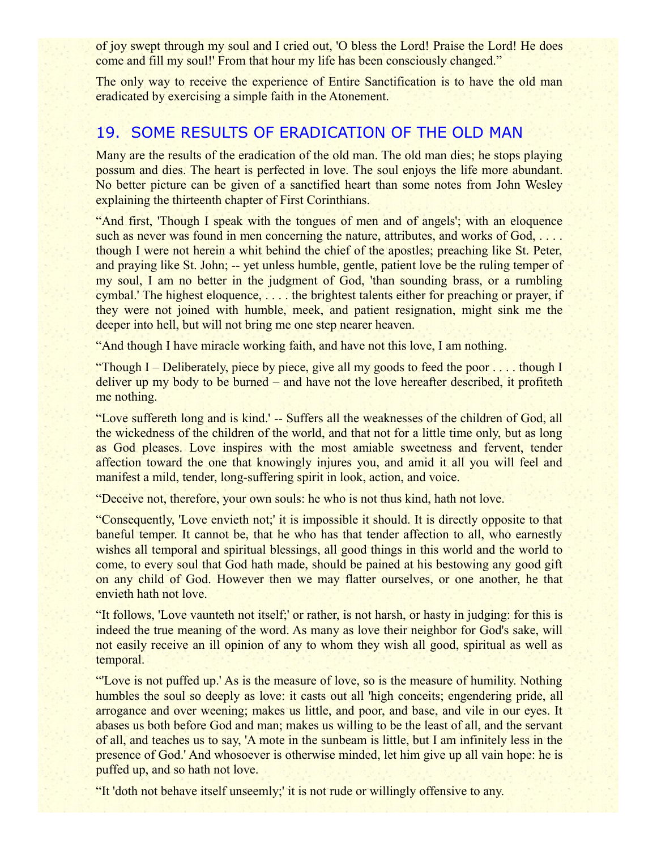of joy swept through my soul and I cried out, 'O bless the Lord! Praise the Lord! He does come and fill my soul!' From that hour my life has been consciously changed."

The only way to receive the experience of Entire Sanctification is to have the old man eradicated by exercising a simple faith in the Atonement.

## 19. SOME RESULTS OF ERADICATION OF THE OLD MAN

Many are the results of the eradication of the old man. The old man dies; he stops playing possum and dies. The heart is perfected in love. The soul enjoys the life more abundant. No better picture can be given of a sanctified heart than some notes from John Wesley explaining the thirteenth chapter of First Corinthians.

"And first, 'Though I speak with the tongues of men and of angels'; with an eloquence such as never was found in men concerning the nature, attributes, and works of God, .... though I were not herein a whit behind the chief of the apostles; preaching like St. Peter, and praying like St. John; -- yet unless humble, gentle, patient love be the ruling temper of my soul, I am no better in the judgment of God, 'than sounding brass, or a rumbling cymbal.' The highest eloquence, . . . . the brightest talents either for preaching or prayer, if they were not joined with humble, meek, and patient resignation, might sink me the deeper into hell, but will not bring me one step nearer heaven.

"And though I have miracle working faith, and have not this love, I am nothing.

"Though I – Deliberately, piece by piece, give all my goods to feed the poor . . . . though I deliver up my body to be burned – and have not the love hereafter described, it profiteth me nothing.

"Love suffereth long and is kind.' -- Suffers all the weaknesses of the children of God, all the wickedness of the children of the world, and that not for a little time only, but as long as God pleases. Love inspires with the most amiable sweetness and fervent, tender affection toward the one that knowingly injures you, and amid it all you will feel and manifest a mild, tender, long-suffering spirit in look, action, and voice.

"Deceive not, therefore, your own souls: he who is not thus kind, hath not love.

"Consequently, 'Love envieth not;' it is impossible it should. It is directly opposite to that baneful temper. It cannot be, that he who has that tender affection to all, who earnestly wishes all temporal and spiritual blessings, all good things in this world and the world to come, to every soul that God hath made, should be pained at his bestowing any good gift on any child of God. However then we may flatter ourselves, or one another, he that envieth hath not love.

"It follows, 'Love vaunteth not itself;' or rather, is not harsh, or hasty in judging: for this is indeed the true meaning of the word. As many as love their neighbor for God's sake, will not easily receive an ill opinion of any to whom they wish all good, spiritual as well as temporal.

"'Love is not puffed up.' As is the measure of love, so is the measure of humility. Nothing humbles the soul so deeply as love: it casts out all 'high conceits; engendering pride, all arrogance and over weening; makes us little, and poor, and base, and vile in our eyes. It abases us both before God and man; makes us willing to be the least of all, and the servant of all, and teaches us to say, 'A mote in the sunbeam is little, but I am infinitely less in the presence of God.' And whosoever is otherwise minded, let him give up all vain hope: he is puffed up, and so hath not love.

"It 'doth not behave itself unseemly;' it is not rude or willingly offensive to any.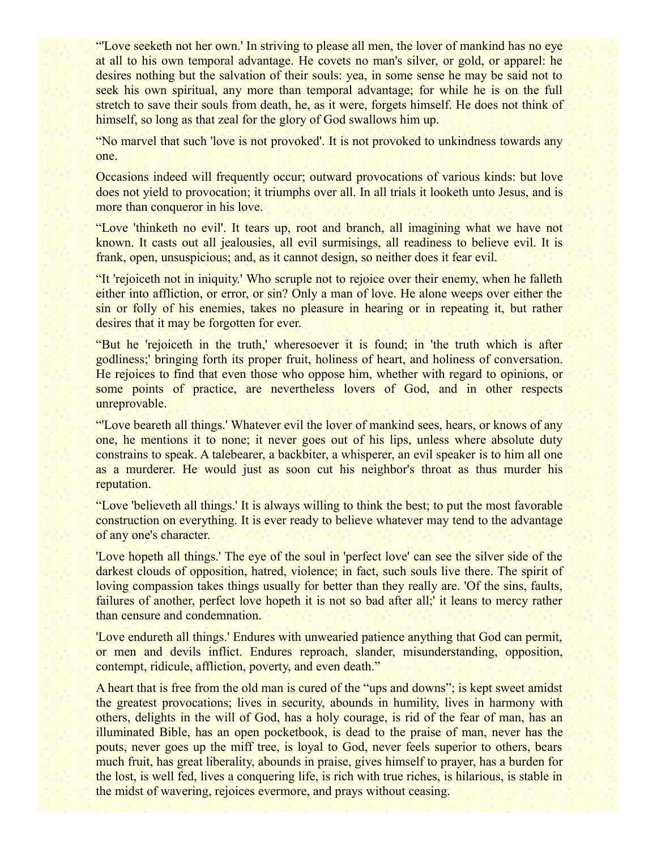"'Love seeketh not her own.' In striving to please all men, the lover of mankind has no eye at all to his own temporal advantage. He covets no man's silver, or gold, or apparel: he desires nothing but the salvation of their souls: yea, in some sense he may be said not to seek his own spiritual, any more than temporal advantage; for while he is on the full stretch to save their souls from death, he, as it were, forgets himself. He does not think of himself, so long as that zeal for the glory of God swallows him up.

"No marvel that such 'love is not provoked'. It is not provoked to unkindness towards any one.

Occasions indeed will frequently occur; outward provocations of various kinds: but love does not yield to provocation; it triumphs over all. In all trials it looketh unto Jesus, and is more than conqueror in his love.

"Love 'thinketh no evil'. It tears up, root and branch, all imagining what we have not known. It casts out all jealousies, all evil surmisings, all readiness to believe evil. It is frank, open, unsuspicious; and, as it cannot design, so neither does it fear evil.

"It 'rejoiceth not in iniquity.' Who scruple not to rejoice over their enemy, when he falleth either into affliction, or error, or sin? Only a man of love. He alone weeps over either the sin or folly of his enemies, takes no pleasure in hearing or in repeating it, but rather desires that it may be forgotten for ever.

"But he 'rejoiceth in the truth,' wheresoever it is found; in 'the truth which is after godliness;' bringing forth its proper fruit, holiness of heart, and holiness of conversation. He rejoices to find that even those who oppose him, whether with regard to opinions, or some points of practice, are nevertheless lovers of God, and in other respects unreprovable.

"'Love beareth all things.' Whatever evil the lover of mankind sees, hears, or knows of any one, he mentions it to none; it never goes out of his lips, unless where absolute duty constrains to speak. A talebearer, a backbiter, a whisperer, an evil speaker is to him all one as a murderer. He would just as soon cut his neighbor's throat as thus murder his reputation.

"Love 'believeth all things.' It is always willing to think the best; to put the most favorable construction on everything. It is ever ready to believe whatever may tend to the advantage of any one's character.

'Love hopeth all things.' The eye of the soul in 'perfect love' can see the silver side of the darkest clouds of opposition, hatred, violence; in fact, such souls live there. The spirit of loving compassion takes things usually for better than they really are. 'Of the sins, faults, failures of another, perfect love hopeth it is not so bad after all;' it leans to mercy rather than censure and condemnation.

'Love endureth all things.' Endures with unwearied patience anything that God can permit, or men and devils inflict. Endures reproach, slander, misunderstanding, opposition, contempt, ridicule, affliction, poverty, and even death."

A heart that is free from the old man is cured of the "ups and downs"; is kept sweet amidst the greatest provocations; lives in security, abounds in humility, lives in harmony with others, delights in the will of God, has a holy courage, is rid of the fear of man, has an illuminated Bible, has an open pocketbook, is dead to the praise of man, never has the pouts, never goes up the miff tree, is loyal to God, never feels superior to others, bears much fruit, has great liberality, abounds in praise, gives himself to prayer, has a burden for the lost, is well fed, lives a conquering life, is rich with true riches, is hilarious, is stable in the midst of wavering, rejoices evermore, and prays without ceasing.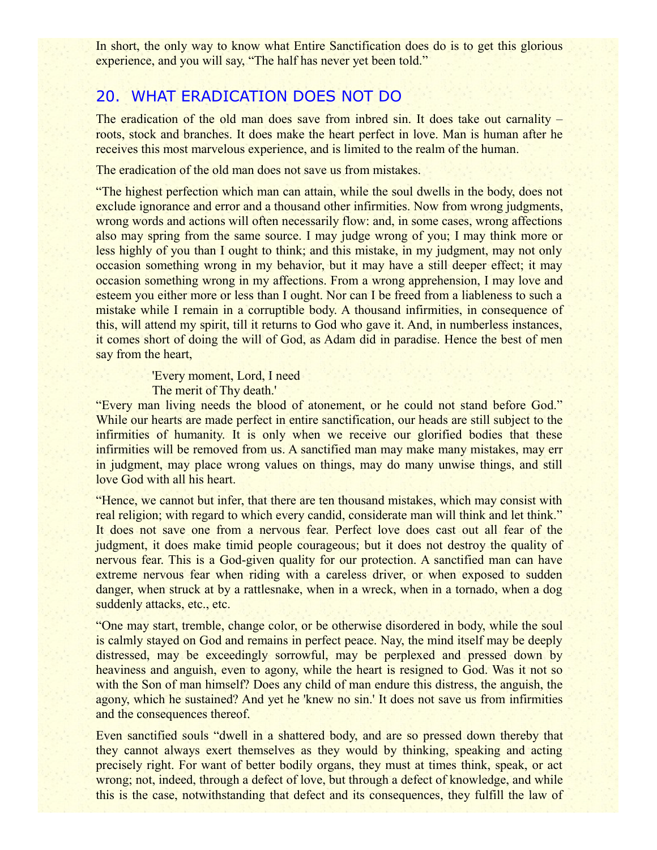In short, the only way to know what Entire Sanctification does do is to get this glorious experience, and you will say, "The half has never yet been told."

## 20. WHAT ERADICATION DOES NOT DO

The eradication of the old man does save from inbred sin. It does take out carnality – roots, stock and branches. It does make the heart perfect in love. Man is human after he receives this most marvelous experience, and is limited to the realm of the human.

The eradication of the old man does not save us from mistakes.

"The highest perfection which man can attain, while the soul dwells in the body, does not exclude ignorance and error and a thousand other infirmities. Now from wrong judgments, wrong words and actions will often necessarily flow: and, in some cases, wrong affections also may spring from the same source. I may judge wrong of you; I may think more or less highly of you than I ought to think; and this mistake, in my judgment, may not only occasion something wrong in my behavior, but it may have a still deeper effect; it may occasion something wrong in my affections. From a wrong apprehension, I may love and esteem you either more or less than I ought. Nor can I be freed from a liableness to such a mistake while I remain in a corruptible body. A thousand infirmities, in consequence of this, will attend my spirit, till it returns to God who gave it. And, in numberless instances, it comes short of doing the will of God, as Adam did in paradise. Hence the best of men say from the heart,

> 'Every moment, Lord, I need The merit of Thy death.'

"Every man living needs the blood of atonement, or he could not stand before God." While our hearts are made perfect in entire sanctification, our heads are still subject to the infirmities of humanity. It is only when we receive our glorified bodies that these infirmities will be removed from us. A sanctified man may make many mistakes, may err in judgment, may place wrong values on things, may do many unwise things, and still love God with all his heart.

"Hence, we cannot but infer, that there are ten thousand mistakes, which may consist with real religion; with regard to which every candid, considerate man will think and let think." It does not save one from a nervous fear. Perfect love does cast out all fear of the judgment, it does make timid people courageous; but it does not destroy the quality of nervous fear. This is a God-given quality for our protection. A sanctified man can have extreme nervous fear when riding with a careless driver, or when exposed to sudden danger, when struck at by a rattlesnake, when in a wreck, when in a tornado, when a dog suddenly attacks, etc., etc.

"One may start, tremble, change color, or be otherwise disordered in body, while the soul is calmly stayed on God and remains in perfect peace. Nay, the mind itself may be deeply distressed, may be exceedingly sorrowful, may be perplexed and pressed down by heaviness and anguish, even to agony, while the heart is resigned to God. Was it not so with the Son of man himself? Does any child of man endure this distress, the anguish, the agony, which he sustained? And yet he 'knew no sin.' It does not save us from infirmities and the consequences thereof.

Even sanctified souls "dwell in a shattered body, and are so pressed down thereby that they cannot always exert themselves as they would by thinking, speaking and acting precisely right. For want of better bodily organs, they must at times think, speak, or act wrong; not, indeed, through a defect of love, but through a defect of knowledge, and while this is the case, notwithstanding that defect and its consequences, they fulfill the law of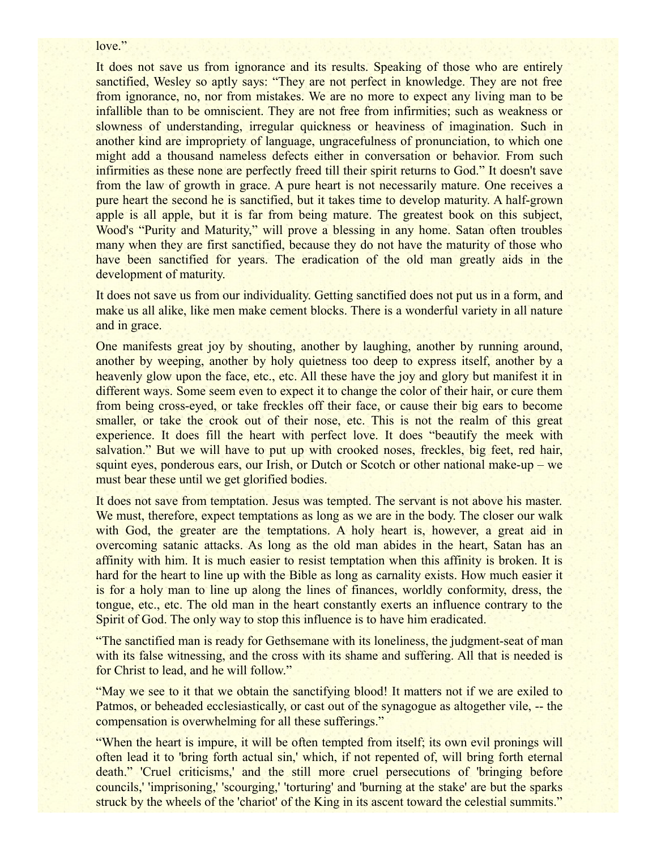#### love."

It does not save us from ignorance and its results. Speaking of those who are entirely sanctified, Wesley so aptly says: "They are not perfect in knowledge. They are not free from ignorance, no, nor from mistakes. We are no more to expect any living man to be infallible than to be omniscient. They are not free from infirmities; such as weakness or slowness of understanding, irregular quickness or heaviness of imagination. Such in another kind are impropriety of language, ungracefulness of pronunciation, to which one might add a thousand nameless defects either in conversation or behavior. From such infirmities as these none are perfectly freed till their spirit returns to God." It doesn't save from the law of growth in grace. A pure heart is not necessarily mature. One receives a pure heart the second he is sanctified, but it takes time to develop maturity. A half-grown apple is all apple, but it is far from being mature. The greatest book on this subject, Wood's "Purity and Maturity," will prove a blessing in any home. Satan often troubles many when they are first sanctified, because they do not have the maturity of those who have been sanctified for years. The eradication of the old man greatly aids in the development of maturity.

It does not save us from our individuality. Getting sanctified does not put us in a form, and make us all alike, like men make cement blocks. There is a wonderful variety in all nature and in grace.

One manifests great joy by shouting, another by laughing, another by running around, another by weeping, another by holy quietness too deep to express itself, another by a heavenly glow upon the face, etc., etc. All these have the joy and glory but manifest it in different ways. Some seem even to expect it to change the color of their hair, or cure them from being cross-eyed, or take freckles off their face, or cause their big ears to become smaller, or take the crook out of their nose, etc. This is not the realm of this great experience. It does fill the heart with perfect love. It does "beautify the meek with salvation." But we will have to put up with crooked noses, freckles, big feet, red hair, squint eyes, ponderous ears, our Irish, or Dutch or Scotch or other national make-up – we must bear these until we get glorified bodies.

It does not save from temptation. Jesus was tempted. The servant is not above his master. We must, therefore, expect temptations as long as we are in the body. The closer our walk with God, the greater are the temptations. A holy heart is, however, a great aid in overcoming satanic attacks. As long as the old man abides in the heart, Satan has an affinity with him. It is much easier to resist temptation when this affinity is broken. It is hard for the heart to line up with the Bible as long as carnality exists. How much easier it is for a holy man to line up along the lines of finances, worldly conformity, dress, the tongue, etc., etc. The old man in the heart constantly exerts an influence contrary to the Spirit of God. The only way to stop this influence is to have him eradicated.

"The sanctified man is ready for Gethsemane with its loneliness, the judgment-seat of man with its false witnessing, and the cross with its shame and suffering. All that is needed is for Christ to lead, and he will follow."

"May we see to it that we obtain the sanctifying blood! It matters not if we are exiled to Patmos, or beheaded ecclesiastically, or cast out of the synagogue as altogether vile, -- the compensation is overwhelming for all these sufferings."

"When the heart is impure, it will be often tempted from itself; its own evil pronings will often lead it to 'bring forth actual sin,' which, if not repented of, will bring forth eternal death." 'Cruel criticisms,' and the still more cruel persecutions of 'bringing before councils,' 'imprisoning,' 'scourging,' 'torturing' and 'burning at the stake' are but the sparks struck by the wheels of the 'chariot' of the King in its ascent toward the celestial summits."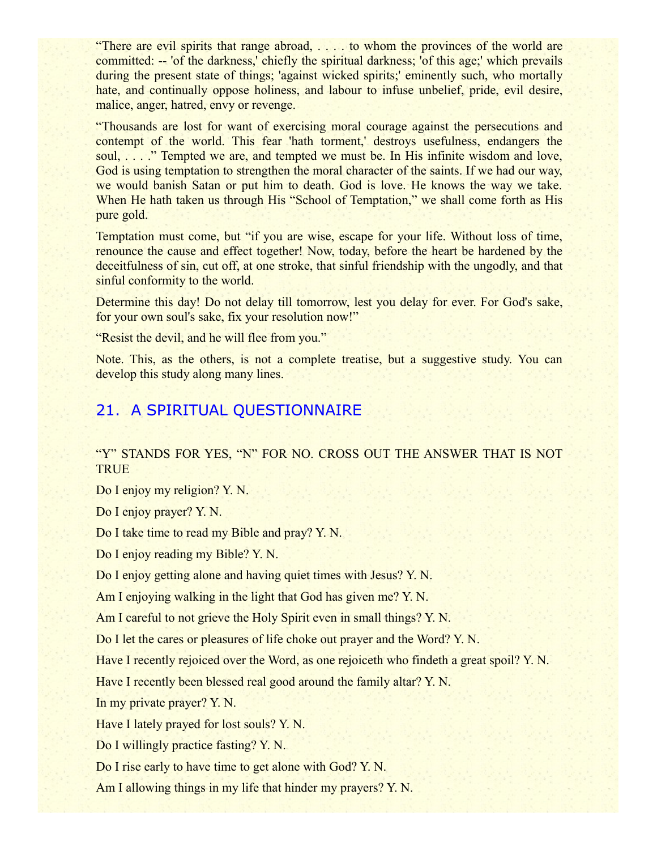"There are evil spirits that range abroad, . . . . to whom the provinces of the world are committed: -- 'of the darkness,' chiefly the spiritual darkness; 'of this age;' which prevails during the present state of things; 'against wicked spirits;' eminently such, who mortally hate, and continually oppose holiness, and labour to infuse unbelief, pride, evil desire, malice, anger, hatred, envy or revenge.

"Thousands are lost for want of exercising moral courage against the persecutions and contempt of the world. This fear 'hath torment,' destroys usefulness, endangers the soul, . . . ." Tempted we are, and tempted we must be. In His infinite wisdom and love, God is using temptation to strengthen the moral character of the saints. If we had our way, we would banish Satan or put him to death. God is love. He knows the way we take. When He hath taken us through His "School of Temptation," we shall come forth as His pure gold.

Temptation must come, but "if you are wise, escape for your life. Without loss of time, renounce the cause and effect together! Now, today, before the heart be hardened by the deceitfulness of sin, cut off, at one stroke, that sinful friendship with the ungodly, and that sinful conformity to the world.

Determine this day! Do not delay till tomorrow, lest you delay for ever. For God's sake, for your own soul's sake, fix your resolution now!"

"Resist the devil, and he will flee from you."

Note. This, as the others, is not a complete treatise, but a suggestive study. You can develop this study along many lines.

## 21. A SPIRITUAL QUESTIONNAIRE

"Y" STANDS FOR YES, "N" FOR NO. CROSS OUT THE ANSWER THAT IS NOT **TRUE** 

Do I enjoy my religion? Y. N.

Do I enjoy prayer? Y. N.

Do I take time to read my Bible and pray? Y. N.

Do I enjoy reading my Bible? Y. N.

Do I enjoy getting alone and having quiet times with Jesus? Y. N.

Am I enjoying walking in the light that God has given me? Y. N.

Am I careful to not grieve the Holy Spirit even in small things? Y. N.

Do I let the cares or pleasures of life choke out prayer and the Word? Y. N.

Have I recently rejoiced over the Word, as one rejoiceth who findeth a great spoil? Y. N.

Have I recently been blessed real good around the family altar? Y. N.

In my private prayer? Y. N.

Have I lately prayed for lost souls? Y. N.

Do I willingly practice fasting? Y. N.

Do I rise early to have time to get alone with God? Y. N.

Am I allowing things in my life that hinder my prayers? Y. N.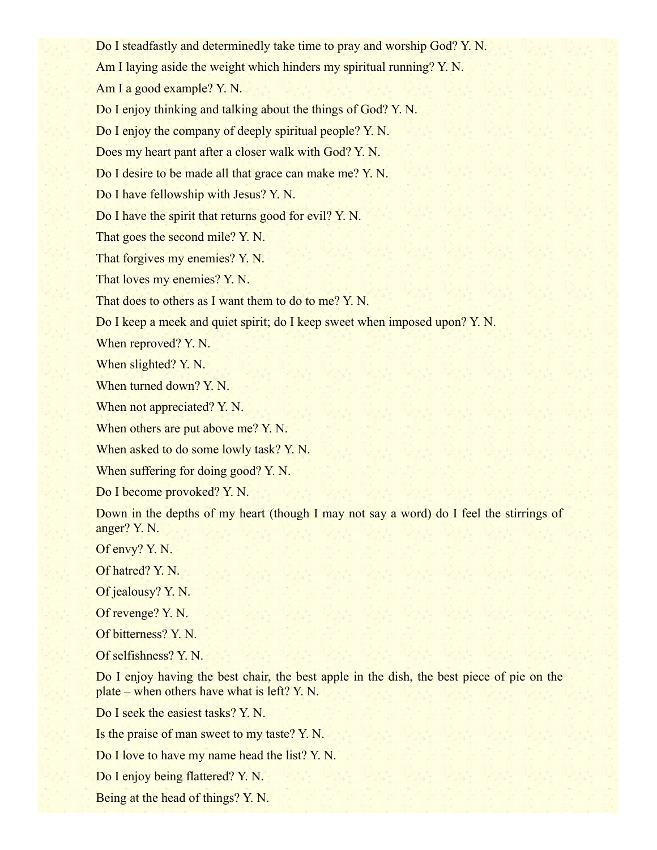Do I steadfastly and determinedly take time to pray and worship God? Y. N. Am I laying aside the weight which hinders my spiritual running? Y. N. Am I a good example? Y. N. Do I enjoy thinking and talking about the things of God? Y. N. Do I enjoy the company of deeply spiritual people? Y. N. Does my heart pant after a closer walk with God? Y. N. Do I desire to be made all that grace can make me? Y. N. Do I have fellowship with Jesus? Y. N. Do I have the spirit that returns good for evil? Y. N. That goes the second mile? Y. N. That forgives my enemies? Y. N. That loves my enemies? Y. N. That does to others as I want them to do to me? Y. N. Do I keep a meek and quiet spirit; do I keep sweet when imposed upon? Y. N. When reproved? Y. N. When slighted? Y. N. When turned down? Y. N. When not appreciated? Y. N. When others are put above me? Y.N. When asked to do some lowly task? Y. N. When suffering for doing good? Y. N. Do I become provoked? Y. N.

Down in the depths of my heart (though I may not say a word) do I feel the stirrings of anger? Y. N.

Of envy? Y. N.

Of hatred? Y. N.

Of jealousy? Y. N.

Of revenge? Y. N.

Of bitterness? Y. N.

Of selfishness? Y. N.

Do I enjoy having the best chair, the best apple in the dish, the best piece of pie on the plate – when others have what is left? Y. N.

Do I seek the easiest tasks? Y. N.

Is the praise of man sweet to my taste? Y. N.

Do I love to have my name head the list? Y. N.

Do I enjoy being flattered? Y. N.

Being at the head of things? Y. N.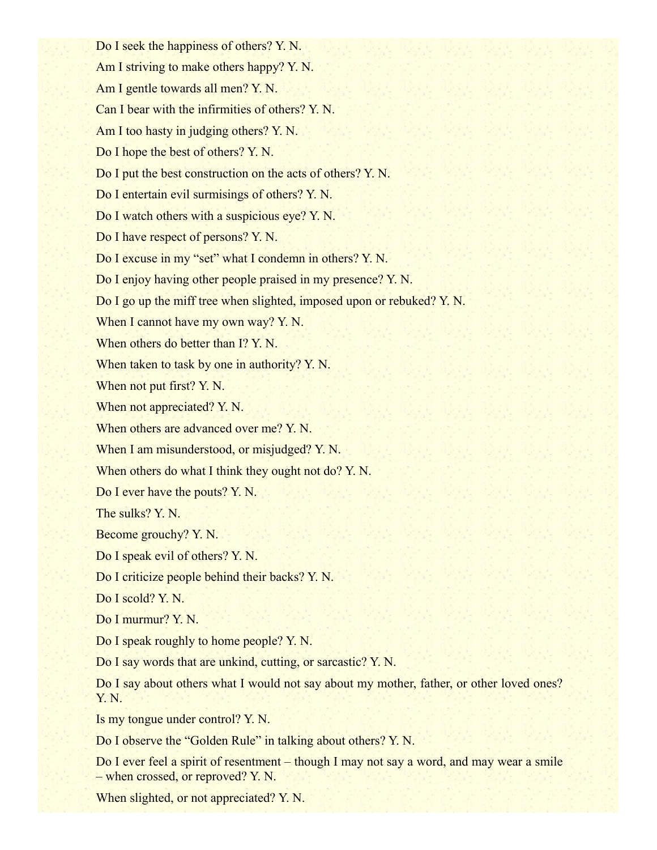Do I seek the happiness of others? Y. N. Am I striving to make others happy? Y. N. Am I gentle towards all men? Y. N. Can I bear with the infirmities of others? Y. N. Am I too hasty in judging others? Y. N. Do I hope the best of others? Y. N. Do I put the best construction on the acts of others? Y. N. Do I entertain evil surmisings of others? Y. N. Do I watch others with a suspicious eye? Y. N. Do I have respect of persons? Y. N. Do I excuse in my "set" what I condemn in others? Y. N. Do I enjoy having other people praised in my presence? Y. N. Do I go up the miff tree when slighted, imposed upon or rebuked? Y. N. When I cannot have my own way? Y.N. When others do better than I? Y. N. When taken to task by one in authority? Y. N. When not put first? Y. N. When not appreciated? Y. N. When others are advanced over me? Y.N. When I am misunderstood, or misjudged? Y. N. When others do what I think they ought not do? Y. N. Do I ever have the pouts? Y. N. The sulks? Y. N. Become grouchy? Y. N. Do I speak evil of others? Y. N. Do I criticize people behind their backs? Y. N. Do I scold? Y. N. Do I murmur? Y. N. Do I speak roughly to home people? Y. N. Do I say words that are unkind, cutting, or sarcastic? Y. N. Do I say about others what I would not say about my mother, father, or other loved ones? Y. N. Is my tongue under control? Y. N. Do I observe the "Golden Rule" in talking about others? Y. N.

Do I ever feel a spirit of resentment – though I may not say a word, and may wear a smile – when crossed, or reproved? Y. N.

When slighted, or not appreciated? Y. N.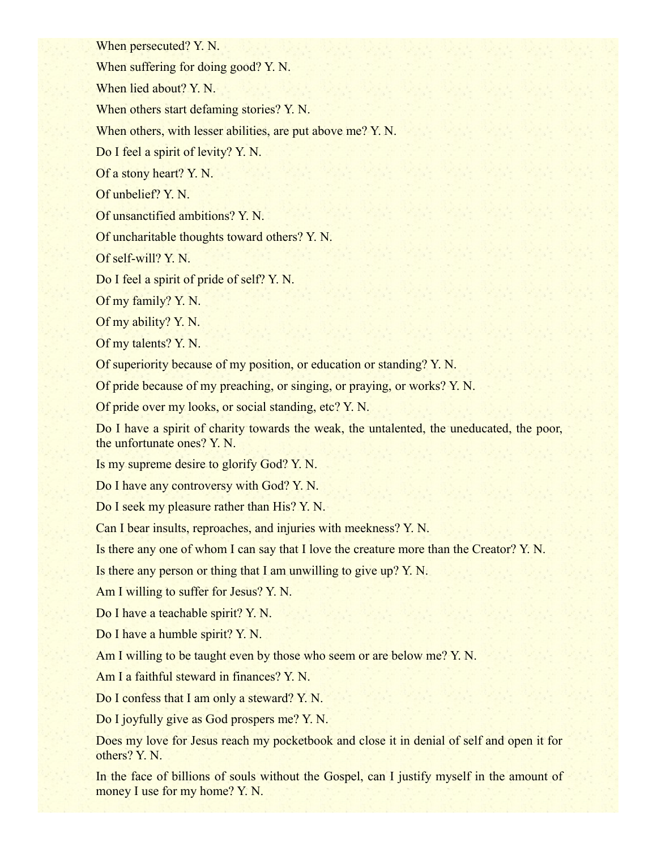When persecuted? Y. N.

When suffering for doing good? Y.N.

When lied about? Y. N.

When others start defaming stories? Y. N.

When others, with lesser abilities, are put above me? Y. N.

Do I feel a spirit of levity? Y. N.

Of a stony heart? Y. N.

Of unbelief? Y. N.

Of unsanctified ambitions? Y. N.

Of uncharitable thoughts toward others? Y. N.

Of self-will? Y. N.

Do I feel a spirit of pride of self? Y. N.

Of my family? Y. N.

Of my ability? Y. N.

Of my talents? Y. N.

Of superiority because of my position, or education or standing? Y. N.

Of pride because of my preaching, or singing, or praying, or works? Y. N.

Of pride over my looks, or social standing, etc? Y. N.

Do I have a spirit of charity towards the weak, the untalented, the uneducated, the poor, the unfortunate ones? Y. N.

Is my supreme desire to glorify God? Y. N.

Do I have any controversy with God? Y. N.

Do I seek my pleasure rather than His? Y. N.

Can I bear insults, reproaches, and injuries with meekness? Y. N.

Is there any one of whom I can say that I love the creature more than the Creator? Y. N.

Is there any person or thing that I am unwilling to give up? Y. N.

Am I willing to suffer for Jesus? Y. N.

Do I have a teachable spirit? Y. N.

Do I have a humble spirit? Y. N.

Am I willing to be taught even by those who seem or are below me? Y. N.

Am I a faithful steward in finances? Y. N.

Do I confess that I am only a steward? Y. N.

Do I joyfully give as God prospers me? Y. N.

Does my love for Jesus reach my pocketbook and close it in denial of self and open it for others? Y. N.

In the face of billions of souls without the Gospel, can I justify myself in the amount of money I use for my home? Y.N.